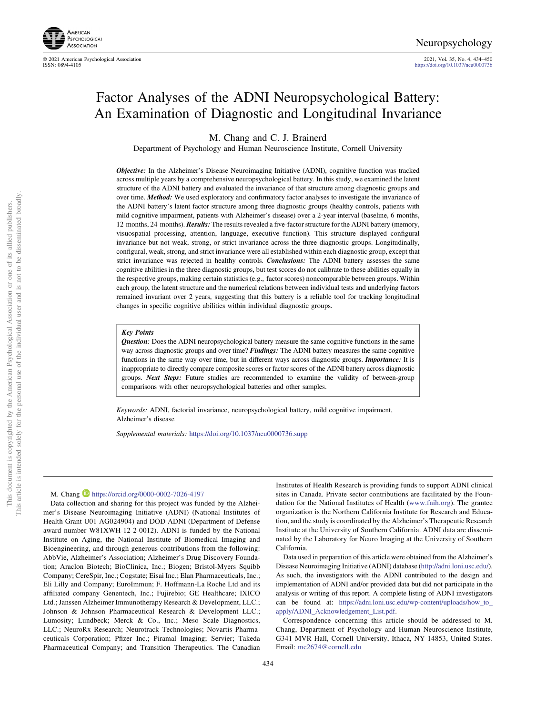

© 2021 American Psychological Association 2021, Vol. 35, No. 4, 434–450

<https://doi.org/10.1037/neu0000736>

# Factor Analyses of the ADNI Neuropsychological Battery: An Examination of Diagnostic and Longitudinal Invariance

M. Chang and C. J. Brainerd

Department of Psychology and Human Neuroscience Institute, Cornell University

Objective: In the Alzheimer's Disease Neuroimaging Initiative (ADNI), cognitive function was tracked across multiple years by a comprehensive neuropsychological battery. In this study, we examined the latent structure of the ADNI battery and evaluated the invariance of that structure among diagnostic groups and over time. Method: We used exploratory and confirmatory factor analyses to investigate the invariance of the ADNI battery's latent factor structure among three diagnostic groups (healthy controls, patients with mild cognitive impairment, patients with Alzheimer's disease) over a 2-year interval (baseline, 6 months, 12 months, 24 months). **Results:** The results revealed a five-factor structure for the ADNI battery (memory, visuospatial processing, attention, language, executive function). This structure displayed configural invariance but not weak, strong, or strict invariance across the three diagnostic groups. Longitudinally, configural, weak, strong, and strict invariance were all established within each diagnostic group, except that strict invariance was rejected in healthy controls. Conclusions: The ADNI battery assesses the same cognitive abilities in the three diagnostic groups, but test scores do not calibrate to these abilities equally in the respective groups, making certain statistics (e.g., factor scores) noncomparable between groups. Within each group, the latent structure and the numerical relations between individual tests and underlying factors remained invariant over 2 years, suggesting that this battery is a reliable tool for tracking longitudinal changes in specific cognitive abilities within individual diagnostic groups.

#### Key Points

Question: Does the ADNI neuropsychological battery measure the same cognitive functions in the same way across diagnostic groups and over time? Findings: The ADNI battery measures the same cognitive functions in the same way over time, but in different ways across diagnostic groups. *Importance*: It is inappropriate to directly compare composite scores or factor scores of the ADNI battery across diagnostic groups. Next Steps: Future studies are recommended to examine the validity of between-group comparisons with other neuropsychological batteries and other samples.

Keywords: ADNI, factorial invariance, neuropsychological battery, mild cognitive impairment, Alzheimer's disease

Supplemental materials: <https://doi.org/10.1037/neu0000736.supp>

#### M. Chang <https://orcid.org/0000-0002-7026-4197>

Data collection and sharing for this project was funded by the Alzheimer's Disease Neuroimaging Initiative (ADNI) (National Institutes of Health Grant U01 AG024904) and DOD ADNI (Department of Defense award number W81XWH-12-2-0012). ADNI is funded by the National Institute on Aging, the National Institute of Biomedical Imaging and Bioengineering, and through generous contributions from the following: AbbVie, Alzheimer's Association; Alzheimer's Drug Discovery Foundation; Araclon Biotech; BioClinica, Inc.; Biogen; Bristol-Myers Squibb Company; CereSpir, Inc.; Cogstate; Eisai Inc.; Elan Pharmaceuticals, Inc.; Eli Lilly and Company; EuroImmun; F. Hoffmann-La Roche Ltd and its affiliated company Genentech, Inc.; Fujirebio; GE Healthcare; IXICO Ltd.; Janssen Alzheimer Immunotherapy Research & Development, LLC.; Johnson & Johnson Pharmaceutical Research & Development LLC.; Lumosity; Lundbeck; Merck & Co., Inc.; Meso Scale Diagnostics, LLC.; NeuroRx Research; Neurotrack Technologies; Novartis Pharmaceuticals Corporation; Pfizer Inc.; Piramal Imaging; Servier; Takeda Pharmaceutical Company; and Transition Therapeutics. The Canadian

of its allied publishers.

Institutes of Health Research is providing funds to support ADNI clinical sites in Canada. Private sector contributions are facilitated by the Foundation for the National Institutes of Health [\(www.fnih.org](https://www.fnih.org)). The grantee organization is the Northern California Institute for Research and Education, and the study is coordinated by the Alzheimer's Therapeutic Research Institute at the University of Southern California. ADNI data are disseminated by the Laboratory for Neuro Imaging at the University of Southern California.

Data used in preparation of this article were obtained from the Alzheimer's Disease Neuroimaging Initiative (ADNI) database (<http://adni.loni.usc.edu/>). As such, the investigators with the ADNI contributed to the design and implementation of ADNI and/or provided data but did not participate in the analysis or writing of this report. A complete listing of ADNI investigators can be found at: [https://adni.loni.usc.edu/wp-content/uploads/how\\_to\\_](https://adni.loni.usc.edu/wp-content/uploads/how_to_apply/ADNI_Acknowledgement_List.pdf) [apply/ADNI\\_Acknowledgement\\_List.pdf.](https://adni.loni.usc.edu/wp-content/uploads/how_to_apply/ADNI_Acknowledgement_List.pdf)

Correspondence concerning this article should be addressed to M. Chang, Department of Psychology and Human Neuroscience Institute, G341 MVR Hall, Cornell University, Ithaca, NY 14853, United States. Email: [mc2674@cornell.edu](mailto:mc2674@cornell.edu)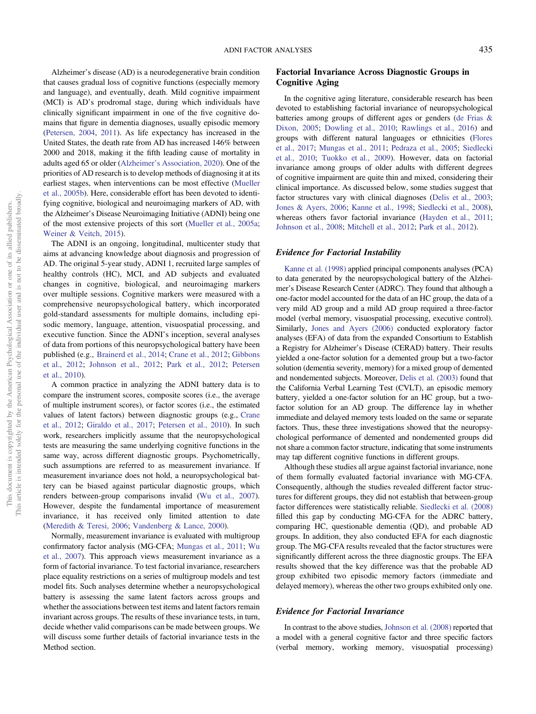Alzheimer's disease (AD) is a neurodegenerative brain condition that causes gradual loss of cognitive functions (especially memory and language), and eventually, death. Mild cognitive impairment (MCI) is AD's prodromal stage, during which individuals have clinically significant impairment in one of the five cognitive domains that figure in dementia diagnoses, usually episodic memory ([Petersen, 2004](#page-15-0), [2011\)](#page-15-0). As life expectancy has increased in the United States, the death rate from AD has increased 146% between 2000 and 2018, making it the fifth leading cause of mortality in adults aged 65 or older (Alzheimer'[s Association, 2020\)](#page-14-0). One of the priorities of AD research is to develop methods of diagnosing it at its earliest stages, when interventions can be most effective ([Mueller](#page-15-0) [et al., 2005b](#page-15-0)). Here, considerable effort has been devoted to identifying cognitive, biological and neuroimaging markers of AD, with the Alzheimer's Disease Neuroimaging Initiative (ADNI) being one of the most extensive projects of this sort ([Mueller et al., 2005a;](#page-15-0) [Weiner & Veitch, 2015\)](#page-16-0).

The ADNI is an ongoing, longitudinal, multicenter study that aims at advancing knowledge about diagnosis and progression of AD. The original 5-year study, ADNI 1, recruited large samples of healthy controls (HC), MCI, and AD subjects and evaluated changes in cognitive, biological, and neuroimaging markers over multiple sessions. Cognitive markers were measured with a comprehensive neuropsychological battery, which incorporated gold-standard assessments for multiple domains, including episodic memory, language, attention, visuospatial processing, and executive function. Since the ADNI's inception, several analyses of data from portions of this neuropsychological battery have been published (e.g., [Brainerd et al., 2014](#page-14-0); [Crane et al., 2012](#page-14-0); [Gibbons](#page-14-0) [et al., 2012;](#page-14-0) [Johnson et al., 2012;](#page-15-0) [Park et al., 2012](#page-15-0); [Petersen](#page-15-0) [et al., 2010\)](#page-15-0).

A common practice in analyzing the ADNI battery data is to compare the instrument scores, composite scores (i.e., the average of multiple instrument scores), or factor scores (i.e., the estimated values of latent factors) between diagnostic groups (e.g., [Crane](#page-14-0) [et al., 2012](#page-14-0); [Giraldo et al., 2017](#page-14-0); [Petersen et al., 2010](#page-15-0)). In such work, researchers implicitly assume that the neuropsychological tests are measuring the same underlying cognitive functions in the same way, across different diagnostic groups. Psychometrically, such assumptions are referred to as measurement invariance. If measurement invariance does not hold, a neuropsychological battery can be biased against particular diagnostic groups, which renders between-group comparisons invalid [\(Wu et al., 2007\)](#page-16-0). However, despite the fundamental importance of measurement invariance, it has received only limited attention to date ([Meredith & Teresi, 2006;](#page-15-0) [Vandenberg & Lance, 2000\)](#page-16-0).

Normally, measurement invariance is evaluated with multigroup confirmatory factor analysis (MG-CFA; [Mungas et al., 2011](#page-15-0); [Wu](#page-16-0) [et al., 2007](#page-16-0)). This approach views measurement invariance as a form of factorial invariance. To test factorial invariance, researchers place equality restrictions on a series of multigroup models and test model fits. Such analyses determine whether a neuropsychological battery is assessing the same latent factors across groups and whether the associations between test items and latent factors remain invariant across groups. The results of these invariance tests, in turn, decide whether valid comparisons can be made between groups. We will discuss some further details of factorial invariance tests in the Method section.

# Factorial Invariance Across Diagnostic Groups in Cognitive Aging

In the cognitive aging literature, considerable research has been devoted to establishing factorial invariance of neuropsychological batteries among groups of different ages or genders ([de Frias &](#page-14-0) [Dixon, 2005](#page-14-0); [Dowling et al., 2010](#page-14-0); [Rawlings et al., 2016\)](#page-16-0) and groups with different natural languages or ethnicities ([Flores](#page-14-0) [et al., 2017;](#page-14-0) [Mungas et al., 2011;](#page-15-0) [Pedraza et al., 2005](#page-15-0); [Siedlecki](#page-16-0) [et al., 2010](#page-16-0); [Tuokko et al., 2009\)](#page-16-0). However, data on factorial invariance among groups of older adults with different degrees of cognitive impairment are quite thin and mixed, considering their clinical importance. As discussed below, some studies suggest that factor structures vary with clinical diagnoses [\(Delis et al., 2003;](#page-14-0) [Jones & Ayers, 2006;](#page-15-0) [Kanne et al., 1998;](#page-15-0) [Siedlecki et al., 2008\)](#page-16-0), whereas others favor factorial invariance [\(Hayden et al., 2011;](#page-15-0) [Johnson et al., 2008;](#page-15-0) [Mitchell et al., 2012](#page-15-0); [Park et al., 2012](#page-15-0)).

## Evidence for Factorial Instability

[Kanne et al. \(1998\)](#page-15-0) applied principal components analyses (PCA) to data generated by the neuropsychological battery of the Alzheimer's Disease Research Center (ADRC). They found that although a one-factor model accounted for the data of an HC group, the data of a very mild AD group and a mild AD group required a three-factor model (verbal memory, visuospatial processing, executive control). Similarly, [Jones and Ayers \(2006\)](#page-15-0) conducted exploratory factor analyses (EFA) of data from the expanded Consortium to Establish a Registry for Alzheimer's Disease (CERAD) battery. Their results yielded a one-factor solution for a demented group but a two-factor solution (dementia severity, memory) for a mixed group of demented and nondemented subjects. Moreover, [Delis et al. \(2003\)](#page-14-0) found that the California Verbal Learning Test (CVLT), an episodic memory battery, yielded a one-factor solution for an HC group, but a twofactor solution for an AD group. The difference lay in whether immediate and delayed memory tests loaded on the same or separate factors. Thus, these three investigations showed that the neuropsychological performance of demented and nondemented groups did not share a common factor structure, indicating that some instruments may tap different cognitive functions in different groups.

Although these studies all argue against factorial invariance, none of them formally evaluated factorial invariance with MG-CFA. Consequently, although the studies revealed different factor structures for different groups, they did not establish that between-group factor differences were statistically reliable. [Siedlecki et al. \(2008\)](#page-16-0) filled this gap by conducting MG-CFA for the ADRC battery, comparing HC, questionable dementia (QD), and probable AD groups. In addition, they also conducted EFA for each diagnostic group. The MG-CFA results revealed that the factor structures were significantly different across the three diagnostic groups. The EFA results showed that the key difference was that the probable AD group exhibited two episodic memory factors (immediate and delayed memory), whereas the other two groups exhibited only one.

## Evidence for Factorial Invariance

In contrast to the above studies, [Johnson et al. \(2008\)](#page-15-0) reported that a model with a general cognitive factor and three specific factors (verbal memory, working memory, visuospatial processing)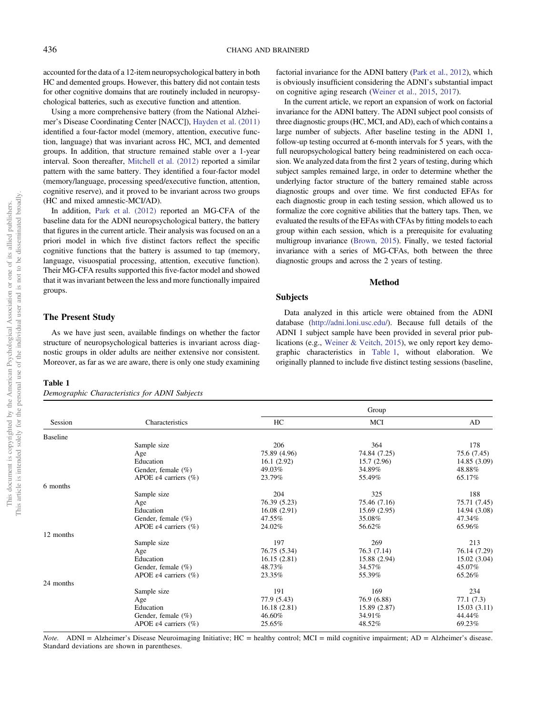accounted for the data of a 12-item neuropsychological battery in both HC and demented groups. However, this battery did not contain tests for other cognitive domains that are routinely included in neuropsychological batteries, such as executive function and attention.

Using a more comprehensive battery (from the National Alzheimer's Disease Coordinating Center [NACC]), [Hayden et al. \(2011\)](#page-15-0) identified a four-factor model (memory, attention, executive function, language) that was invariant across HC, MCI, and demented groups. In addition, that structure remained stable over a 1-year interval. Soon thereafter, [Mitchell et al. \(2012\)](#page-15-0) reported a similar pattern with the same battery. They identified a four-factor model (memory/language, processing speed/executive function, attention, cognitive reserve), and it proved to be invariant across two groups (HC and mixed amnestic-MCI/AD).

In addition, [Park et al. \(2012\)](#page-15-0) reported an MG-CFA of the baseline data for the ADNI neuropsychological battery, the battery that figures in the current article. Their analysis was focused on an a priori model in which five distinct factors reflect the specific cognitive functions that the battery is assumed to tap (memory, language, visuospatial processing, attention, executive function). Their MG-CFA results supported this five-factor model and showed that it was invariant between the less and more functionally impaired groups.

# The Present Study

As we have just seen, available findings on whether the factor structure of neuropsychological batteries is invariant across diagnostic groups in older adults are neither extensive nor consistent. Moreover, as far as we are aware, there is only one study examining

# Table 1

Demographic Characteristics for ADNI Subjects

factorial invariance for the ADNI battery [\(Park et al., 2012\)](#page-15-0), which is obviously insufficient considering the ADNI's substantial impact on cognitive aging research [\(Weiner et al., 2015,](#page-16-0) [2017\)](#page-16-0).

In the current article, we report an expansion of work on factorial invariance for the ADNI battery. The ADNI subject pool consists of three diagnostic groups (HC, MCI, and AD), each of which contains a large number of subjects. After baseline testing in the ADNI 1, follow-up testing occurred at 6-month intervals for 5 years, with the full neuropsychological battery being readministered on each occasion. We analyzed data from the first 2 years of testing, during which subject samples remained large, in order to determine whether the underlying factor structure of the battery remained stable across diagnostic groups and over time. We first conducted EFAs for each diagnostic group in each testing session, which allowed us to formalize the core cognitive abilities that the battery taps. Then, we evaluated the results of the EFAs with CFAs by fitting models to each group within each session, which is a prerequisite for evaluating multigroup invariance ([Brown, 2015](#page-14-0)). Finally, we tested factorial invariance with a series of MG-CFAs, both between the three diagnostic groups and across the 2 years of testing.

#### Method

# Subjects

Data analyzed in this article were obtained from the ADNI database [\(http://adni.loni.usc.edu/\)](http://adni.loni.usc.edu/). Because full details of the ADNI 1 subject sample have been provided in several prior publications (e.g., [Weiner & Veitch, 2015\)](#page-16-0), we only report key demographic characteristics in Table 1, without elaboration. We originally planned to include five distinct testing sessions (baseline,

Session Characteristics **Group** HC MCI AD Baseline Sample size 206 206 364 178 Age 75.89 (4.96) 75.89 (4.96) 74.84 (7.25) 75.6 (7.45) Education 16.1 (2.92) 15.7 (2.96) 14.85 (3.09) Gender, female  $\binom{6}{6}$  49.03% 34.89% 34.89% 48.88% APOE ε4 carriers (%) 23.79% 55.49% 65.17% 65.17% 6 months Sample size 204 204 325 325 388 Age 76.39 (5.23) 75.46 (7.16) 75.71 (7.45) Education 16.08 (2.91) 15.69 (2.95) 14.94 (3.08) Gender, female (%)  $47.55\%$   $35.08\%$   $47.34\%$ <br>APOE  $\epsilon$ 4 carriers (%)  $24.02\%$   $56.62\%$   $56.62\%$   $65.96\%$ APOE ε4 carriers  $(%$ 12 months Sample size 197 269 213 Age 76.14 (7.29) 76.75 (5.34) 76.3 (7.14) 76.3 (7.14) Education 15.02 (3.04) 16.15 (2.81) 15.88 (2.94) 15.02 (3.04) Gender, female (%) 48.73% 34.57% 34.57% 45.07% APOE ε4 carriers (%) 23.35% 55.39% 65.26% 65.26% 24 months Sample size 191 169 234 Age 2001 2012 2013 2014 2015 2016 2017 2018 2019 2014 2016 2017 2018 2019 2014 2016 2017 2018 2019 2017 2018 20 Education 15.03 (3.11) 16.18 (2.81) 15.89 (2.87) 15.03 (3.11) Gender, female (%)  $46.60\%$   $34.91\%$   $44.44\%$ <br>APOE  $\epsilon$ 4 carriers (%)  $25.65\%$   $48.52\%$   $59.23\%$ APOE ε4 carriers  $(%$ 

Note. ADNI = Alzheimer's Disease Neuroimaging Initiative; HC = healthy control; MCI = mild cognitive impairment; AD = Alzheimer's disease. Standard deviations are shown in parentheses.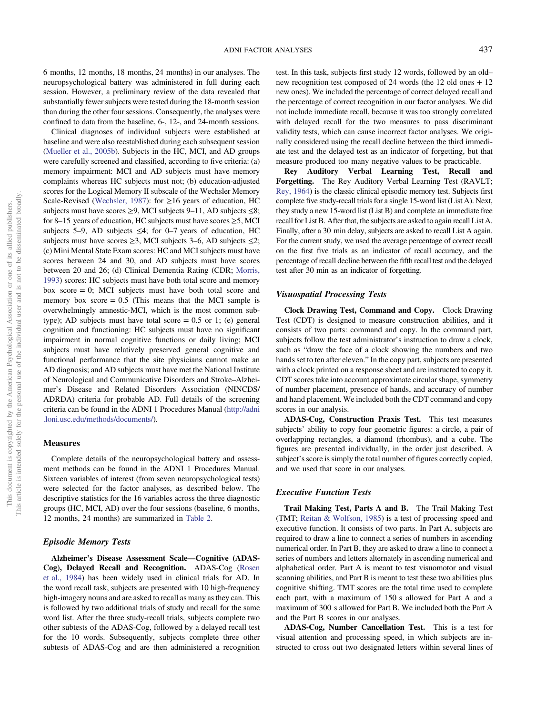6 months, 12 months, 18 months, 24 months) in our analyses. The neuropsychological battery was administered in full during each session. However, a preliminary review of the data revealed that substantially fewer subjects were tested during the 18-month session than during the other four sessions. Consequently, the analyses were confined to data from the baseline, 6-, 12-, and 24-month sessions.

Clinical diagnoses of individual subjects were established at baseline and were also reestablished during each subsequent session ([Mueller et al., 2005b\)](#page-15-0). Subjects in the HC, MCI, and AD groups were carefully screened and classified, according to five criteria: (a) memory impairment: MCI and AD subjects must have memory complaints whereas HC subjects must not; (b) education-adjusted scores for the Logical Memory II subscale of the Wechsler Memory Scale-Revised [\(Wechsler, 1987](#page-16-0)): for  $\geq 16$  years of education, HC subjects must have scores  $\geq$ 9, MCI subjects 9–11, AD subjects  $\leq$ 8; for 8–15 years of education, HC subjects must have scores  $\geq$ 5, MCI subjects 5–9, AD subjects  $\leq 4$ ; for 0–7 years of education, HC subjects must have scores  $\geq$ 3, MCI subjects 3–6, AD subjects  $\leq$ 2; (c) Mini Mental State Exam scores: HC and MCI subjects must have scores between 24 and 30, and AD subjects must have scores between 20 and 26; (d) Clinical Dementia Rating (CDR; [Morris,](#page-15-0) [1993\)](#page-15-0) scores: HC subjects must have both total score and memory box score  $= 0$ ; MCI subjects must have both total score and memory box score  $= 0.5$  (This means that the MCI sample is overwhelmingly amnestic-MCI, which is the most common subtype); AD subjects must have total score  $= 0.5$  or 1; (e) general cognition and functioning: HC subjects must have no significant impairment in normal cognitive functions or daily living; MCI subjects must have relatively preserved general cognitive and functional performance that the site physicians cannot make an AD diagnosis; and AD subjects must have met the National Institute of Neurological and Communicative Disorders and Stroke–Alzheimer's Disease and Related Disorders Association (NINCDS/ ADRDA) criteria for probable AD. Full details of the screening criteria can be found in the ADNI 1 Procedures Manual [\(http://adni](http://adni.loni.usc.edu/methods/documents/) [.loni.usc.edu/methods/documents/\)](http://adni.loni.usc.edu/methods/documents/).

## **Measures**

Complete details of the neuropsychological battery and assessment methods can be found in the ADNI 1 Procedures Manual. Sixteen variables of interest (from seven neuropsychological tests) were selected for the factor analyses, as described below. The descriptive statistics for the 16 variables across the three diagnostic groups (HC, MCI, AD) over the four sessions (baseline, 6 months, 12 months, 24 months) are summarized in [Table 2.](#page-4-0)

#### Episodic Memory Tests

Alzheimer's Disease Assessment Scale—Cognitive (ADAS-Cog), Delayed Recall and Recognition. ADAS-Cog ([Rosen](#page-16-0) [et al., 1984](#page-16-0)) has been widely used in clinical trials for AD. In the word recall task, subjects are presented with 10 high-frequency high-imagery nouns and are asked to recall as many as they can. This is followed by two additional trials of study and recall for the same word list. After the three study-recall trials, subjects complete two other subtests of the ADAS-Cog, followed by a delayed recall test for the 10 words. Subsequently, subjects complete three other subtests of ADAS-Cog and are then administered a recognition test. In this task, subjects first study 12 words, followed by an old– new recognition test composed of 24 words (the 12 old ones + 12 new ones). We included the percentage of correct delayed recall and the percentage of correct recognition in our factor analyses. We did not include immediate recall, because it was too strongly correlated with delayed recall for the two measures to pass discriminant validity tests, which can cause incorrect factor analyses. We originally considered using the recall decline between the third immediate test and the delayed test as an indicator of forgetting, but that measure produced too many negative values to be practicable.

Rey Auditory Verbal Learning Test, Recall and Forgetting. The Rey Auditory Verbal Learning Test (RAVLT; [Rey, 1964](#page-16-0)) is the classic clinical episodic memory test. Subjects first complete five study-recall trials for a single 15-word list (List A). Next, they study a new 15-word list (List B) and complete an immediate free recall for List B. After that, the subjects are asked to again recall List A. Finally, after a 30 min delay, subjects are asked to recall List A again. For the current study, we used the average percentage of correct recall on the first five trials as an indicator of recall accuracy, and the percentage of recall decline between the fifth recall test and the delayed test after 30 min as an indicator of forgetting.

#### Visuospatial Processing Tests

Clock Drawing Test, Command and Copy. Clock Drawing Test (CDT) is designed to measure construction abilities, and it consists of two parts: command and copy. In the command part, subjects follow the test administrator's instruction to draw a clock, such as "draw the face of a clock showing the numbers and two hands set to ten after eleven." In the copy part, subjects are presented with a clock printed on a response sheet and are instructed to copy it. CDT scores take into account approximate circular shape, symmetry of number placement, presence of hands, and accuracy of number and hand placement. We included both the CDT command and copy scores in our analysis.

ADAS-Cog, Construction Praxis Test. This test measures subjects' ability to copy four geometric figures: a circle, a pair of overlapping rectangles, a diamond (rhombus), and a cube. The figures are presented individually, in the order just described. A subject's score is simply the total number of figures correctly copied, and we used that score in our analyses.

# Executive Function Tests

Trail Making Test, Parts A and B. The Trail Making Test (TMT; [Reitan & Wolfson, 1985\)](#page-16-0) is a test of processing speed and executive function. It consists of two parts. In Part A, subjects are required to draw a line to connect a series of numbers in ascending numerical order. In Part B, they are asked to draw a line to connect a series of numbers and letters alternately in ascending numerical and alphabetical order. Part A is meant to test visuomotor and visual scanning abilities, and Part B is meant to test these two abilities plus cognitive shifting. TMT scores are the total time used to complete each part, with a maximum of 150 s allowed for Part A and a maximum of 300 s allowed for Part B. We included both the Part A and the Part B scores in our analyses.

ADAS-Cog, Number Cancellation Test. This is a test for visual attention and processing speed, in which subjects are instructed to cross out two designated letters within several lines of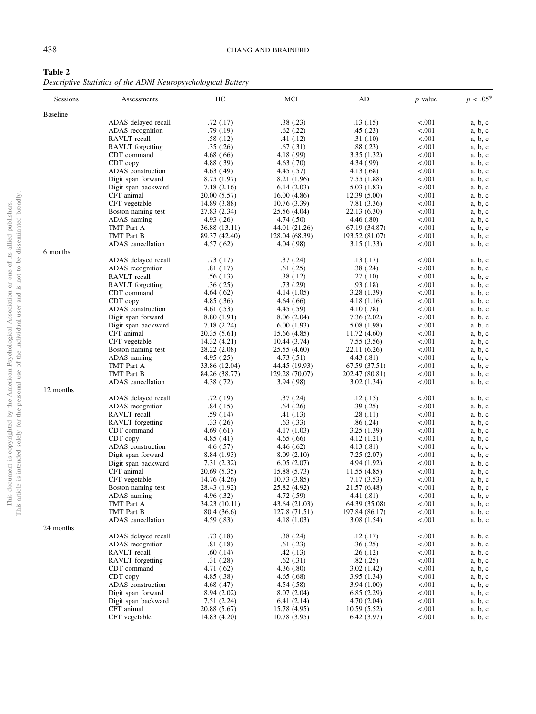<span id="page-4-0"></span>

| Table 2                                                       |  |  |  |  |
|---------------------------------------------------------------|--|--|--|--|
| Descriptive Statistics of the ADNI Neuropsychological Battery |  |  |  |  |

| Sessions        | Assessments             | HC            | MCI            | AD             | $p$ value | $p < .05*$ |
|-----------------|-------------------------|---------------|----------------|----------------|-----------|------------|
| <b>Baseline</b> |                         |               |                |                |           |            |
|                 | ADAS delayed recall     | .72(.17)      | .38(.23)       | .13(.15)       | < .001    | a, b, c    |
|                 | ADAS recognition        | .79 (.19)     | .62(.22)       | .45(.23)       | < .001    | a, b, c    |
|                 | RAVLT recall            | .58(.12)      | .41(.12)       | .31(.10)       | < .001    | a, b, c    |
|                 | RAVLT forgetting        | .35(.26)      | .67(.31)       | .88(.23)       | < .001    | a, b, c    |
|                 | CDT command             | 4.68(0.66)    | 4.18 (.99)     | 3.35(1.32)     | < .001    | a, b, c    |
|                 | CDT copy                | 4.88 (.39)    | 4.63(0.70)     | 4.34 (.99)     | < .001    | a, b, c    |
|                 | ADAS construction       | 4.63(0.49)    | 4.45(.57)      | 4.13 (.68)     | < .001    | a, b, c    |
|                 | Digit span forward      | 8.75(1.97)    | 8.21 (1.96)    | 7.55(1.88)     | < .001    | a, b, c    |
|                 | Digit span backward     | 7.18 (2.16)   | 6.14(2.03)     | 5.03(1.83)     | < .001    | a, b, c    |
|                 | CFT animal              | 20.00 (5.57)  | 16.00(4.86)    | 12.39 (5.00)   | < .001    | a, b, c    |
|                 | CFT vegetable           | 14.89 (3.88)  | 10.76 (3.39)   | 7.81 (3.36)    | < .001    | a, b, c    |
|                 | Boston naming test      | 27.83 (2.34)  | 25.56 (4.04)   | 22.13 (6.30)   | < .001    | a, b, c    |
|                 | ADAS naming             | 4.93(0.26)    | 4.74(.50)      | 4.46(.80)      | < .001    | a, b, c    |
|                 | TMT Part A              | 36.88 (13.11) | 44.01 (21.26)  | 67.19 (34.87)  | < .001    | a, b, c    |
|                 | TMT Part B              | 89.37 (42.40) | 128.04 (68.39) | 193.52 (81.07) | < .001    | a, b, c    |
|                 | ADAS cancellation       | 4.57(.62)     | 4.04(0.98)     | 3.15 (1.33)    | < .001    | a, b, c    |
| 6 months        |                         |               |                |                |           |            |
|                 | ADAS delayed recall     | .73(.17)      | .37(.24)       | .13(.17)       | < .001    | a, b, c    |
|                 | ADAS recognition        | .81(.17)      | .61(.25)       | .38(.24)       | < .001    | a, b, c    |
|                 | RAVLT recall            | .56(.13)      | .38(.12)       | .27(.10)       | < .001    | a, b, c    |
|                 | RAVLT forgetting        | .36(.25)      | .73(.29)       | .93(0.18)      | < .001    | a, b, c    |
|                 | CDT command             | 4.64(0.62)    | 4.14(1.05)     | 3.28 (1.39)    | < .001    | a, b, c    |
|                 | CDT copy                | 4.85(0.36)    | 4.64(0.66)     | 4.18 (1.16)    | < .001    | a, b, c    |
|                 | ADAS construction       | 4.61(.53)     | 4.45(.59)      | 4.10 (.78)     | < .001    | a, b, c    |
|                 | Digit span forward      | 8.80 (1.91)   | 8.06(2.04)     | 7.36(2.02)     | < .001    | a, b, c    |
|                 | Digit span backward     | 7.18 (2.24)   | 6.00(1.93)     | 5.08 (1.98)    | < .001    | a, b, c    |
|                 | CFT animal              | 20.35(5.61)   | 15.66 (4.85)   | 11.72 (4.60)   | < .001    | a, b, c    |
|                 | CFT vegetable           | 14.32 (4.21)  | 10.44 (3.74)   | 7.55(3.56)     | < .001    | a, b, c    |
|                 | Boston naming test      | 28.22 (2.08)  | 25.55 (4.60)   | 22.11 (6.26)   | < .001    | a, b, c    |
|                 | ADAS naming             | 4.95(.25)     | 4.73(.51)      | 4.43 (.81)     | < .001    | a, b, c    |
|                 | TMT Part A              | 33.86 (12.04) | 44.45 (19.93)  | 67.59 (37.51)  | < .001    | a, b, c    |
|                 | TMT Part B              | 84.26 (38.77) | 129.28 (70.07) | 202.47 (80.81) | < .001    | a, b, c    |
|                 | ADAS cancellation       | 4.38 (.72)    | 3.94 (.98)     | 3.02 (1.34)    | < .001    | a, b, c    |
| 12 months       |                         |               |                |                |           |            |
|                 | ADAS delayed recall     | .72 (.19)     | .37(.24)       | .12(.15)       | < .001    | a, b, c    |
|                 | ADAS recognition        | .84(.15)      | .64(.26)       | .39(.25)       | < .001    | a, b, c    |
|                 | RAVLT recall            | .59(.14)      | .41 (.13)      | .28(.11)       | < .001    | a, b, c    |
|                 | RAVLT forgetting        | .33(.26)      | .63(.33)       | .86(.24)       | < .001    | a, b, c    |
|                 | CDT command             | 4.69(0.61)    | 4.17 (1.03)    | 3.25(1.39)     | < .001    | a, b, c    |
|                 | CDT copy                | 4.85(0.41)    | 4.65(0.66)     | 4.12(1.21)     | < .001    | a, b, c    |
|                 | ADAS construction       | 4.6 (.57)     | 4.46(.62)      | 4.13(0.81)     | < .001    | a, b, c    |
|                 | Digit span forward      | 8.84 (1.93)   | 8.09(2.10)     | 7.25(2.07)     | < .001    | a, b, c    |
|                 | Digit span backward     | 7.31 (2.32)   | 6.05(2.07)     | 4.94 (1.92)    | < .001    | a, b, c    |
|                 | CFT animal              | 20.69 (5.35)  | 15.88 (5.73)   | 11.55 (4.85)   | < .001    | a, b, c    |
|                 | CFT vegetable           | 14.76 (4.26)  | 10.73(3.85)    | 7.17(3.53)     | < .001    | a, b, c    |
|                 | Boston naming test      | 28.43 (1.92)  | 25.82 (4.92)   | 21.57 (6.48)   | < .001    | a, b, c    |
|                 | ADAS naming             | 4.96 (.32)    | 4.72 (.59)     | 4.41 (.81)     | < 0.001   | a, b, c    |
|                 | TMT Part A              | 34.23 (10.11) | 43.64 (21.03)  | 64.39 (35.08)  | < 0.001   | a, b, c    |
|                 | TMT Part B              | 80.4 (36.6)   | 127.8 (71.51)  | 197.84 (86.17) | < .001    | a, b, c    |
|                 | ADAS cancellation       | 4.59(.83)     | 4.18(1.03)     | 3.08(1.54)     | < .001    | a, b, c    |
| 24 months       |                         |               |                |                |           |            |
|                 | ADAS delayed recall     | .73(.18)      | .38(.24)       | .12(.17)       | < .001    | a, b, c    |
|                 | ADAS recognition        | .81( .18)     | .61(0.23)      | .36(.25)       | < .001    | a, b, c    |
|                 | RAVLT recall            | .60(.14)      | .42(.13)       | .26(.12)       | < .001    | a, b, c    |
|                 | <b>RAVLT</b> forgetting | .31(.28)      | .62(.31)       | .82(.25)       | < .001    | a, b, c    |
|                 | CDT command             | 4.71(0.62)    | 4.36(.80)      | 3.02(1.42)     | < .001    | a, b, c    |
|                 | CDT copy                | 4.85(.38)     | 4.65(0.68)     | 3.95(1.34)     | < .001    | a, b, c    |
|                 | ADAS construction       | 4.68(0.47)    | 4.54(.58)      | 3.94(1.00)     | < .001    | a, b, c    |
|                 | Digit span forward      | 8.94 (2.02)   | 8.07(2.04)     | 6.85(2.29)     | < .001    | a, b, c    |
|                 | Digit span backward     | 7.51(2.24)    | 6.41(2.14)     | 4.70(2.04)     | < .001    | a, b, c    |
|                 | CFT animal              | 20.88 (5.67)  | 15.78 (4.95)   | 10.59(5.52)    | < .001    | a, b, c    |
|                 | CFT vegetable           | 14.83 (4.20)  | 10.78 (3.95)   | 6.42(3.97)     | < 0.001   | a, b, c    |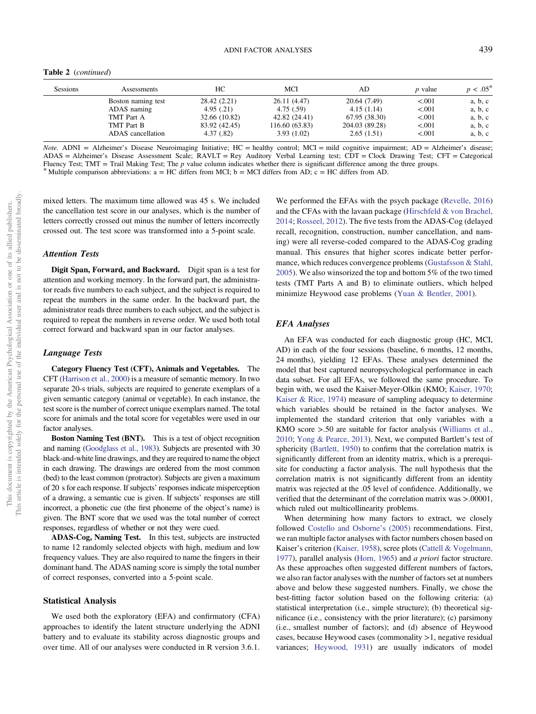Table 2 (continued)

| <b>Sessions</b> | Assessments        | HС            | MCI            | AD.            | <i>p</i> value | $p < .05^*$ |
|-----------------|--------------------|---------------|----------------|----------------|----------------|-------------|
|                 | Boston naming test | 28.42 (2.21)  | 26.11 (4.47)   | 20.64 (7.49)   | < 0.001        | a, b, c     |
|                 | ADAS naming        | 4.95(.21)     | 4.75(.59)      | 4.15(1.14)     | < 0.001        | a, b, c     |
|                 | TMT Part A         | 32.66 (10.82) | 42.82 (24.41)  | 67.95 (38.30)  | < 0.001        | a, b, c     |
|                 | TMT Part B         | 83.92 (42.45) | 116.60 (63.83) | 204.03 (89.28) | < 0.001        | a, b, c     |
|                 | ADAS cancellation  | 4.37(.82)     | 3.93(1.02)     | 2.65(1.51)     | < 0.001        | a, b, c     |

Note. ADNI = Alzheimer's Disease Neuroimaging Initiative; HC = healthy control; MCI = mild cognitive impairment; AD = Alzheimer's disease; ADAS = Alzheimer's Disease Assessment Scale; RAVLT = Rey Auditory Verbal Learning test; CDT = Clock Drawing Test; CFT = Categorical Fluency Test; TMT = Trail Making Test; The p value column indicates whether there is significant difference among the three groups. \* Multiple comparison abbreviations:  $a = HC$  differs from MCI;  $b = MC$  differs from AD;  $c = HC$ 

mixed letters. The maximum time allowed was 45 s. We included the cancellation test score in our analyses, which is the number of letters correctly crossed out minus the number of letters incorrectly crossed out. The test score was transformed into a 5-point scale.

#### Attention Tests

Digit Span, Forward, and Backward. Digit span is a test for attention and working memory. In the forward part, the administrator reads five numbers to each subject, and the subject is required to repeat the numbers in the same order. In the backward part, the administrator reads three numbers to each subject, and the subject is required to repeat the numbers in reverse order. We used both total correct forward and backward span in our factor analyses.

# Language Tests

Category Fluency Test (CFT), Animals and Vegetables. The CFT [\(Harrison et al., 2000\)](#page-15-0) is a measure of semantic memory. In two separate 20-s trials, subjects are required to generate exemplars of a given semantic category (animal or vegetable). In each instance, the test score is the number of correct unique exemplars named. The total score for animals and the total score for vegetables were used in our factor analyses.

Boston Naming Test (BNT). This is a test of object recognition and naming ([Goodglass et al., 1983](#page-14-0)). Subjects are presented with 30 black-and-white line drawings, and they are required to name the object in each drawing. The drawings are ordered from the most common (bed) to the least common (protractor). Subjects are given a maximum of 20 s for each response. If subjects' responses indicate misperception of a drawing, a semantic cue is given. If subjects' responses are still incorrect, a phonetic cue (the first phoneme of the object's name) is given. The BNT score that we used was the total number of correct responses, regardless of whether or not they were cued.

ADAS-Cog, Naming Test. In this test, subjects are instructed to name 12 randomly selected objects with high, medium and low frequency values. They are also required to name the fingers in their dominant hand. The ADAS naming score is simply the total number of correct responses, converted into a 5-point scale.

#### Statistical Analysis

We used both the exploratory (EFA) and confirmatory (CFA) approaches to identify the latent structure underlying the ADNI battery and to evaluate its stability across diagnostic groups and over time. All of our analyses were conducted in R version 3.6.1.

We performed the EFAs with the psych package ([Revelle, 2016](#page-16-0)) and the CFAs with the lavaan package [\(Hirschfeld & von Brachel,](#page-15-0) [2014](#page-15-0); [Rosseel, 2012\)](#page-16-0). The five tests from the ADAS-Cog (delayed recall, recognition, construction, number cancellation, and naming) were all reverse-coded compared to the ADAS-Cog grading manual. This ensures that higher scores indicate better performance, which reduces convergence problems ([Gustafsson & Stahl,](#page-14-0) [2005](#page-14-0)). We also winsorized the top and bottom 5% of the two timed tests (TMT Parts A and B) to eliminate outliers, which helped minimize Heywood case problems ([Yuan & Bentler, 2001](#page-16-0)).

## EFA Analyses

An EFA was conducted for each diagnostic group (HC, MCI, AD) in each of the four sessions (baseline, 6 months, 12 months, 24 months), yielding 12 EFAs. These analyses determined the model that best captured neuropsychological performance in each data subset. For all EFAs, we followed the same procedure. To begin with, we used the Kaiser-Meyer-Olkin (KMO; [Kaiser, 1970;](#page-15-0) [Kaiser & Rice, 1974\)](#page-15-0) measure of sampling adequacy to determine which variables should be retained in the factor analyses. We implemented the standard criterion that only variables with a KMO score >.50 are suitable for factor analysis [\(Williams et al.,](#page-16-0) [2010](#page-16-0); [Yong & Pearce, 2013\)](#page-16-0). Next, we computed Bartlett's test of sphericity ([Bartlett, 1950\)](#page-14-0) to confirm that the correlation matrix is significantly different from an identity matrix, which is a prerequisite for conducting a factor analysis. The null hypothesis that the correlation matrix is not significantly different from an identity matrix was rejected at the .05 level of confidence. Additionally, we verified that the determinant of the correlation matrix was >.00001, which ruled out multicollinearity problems.

When determining how many factors to extract, we closely followed [Costello and Osborne](#page-14-0)'s (2005) recommendations. First, we ran multiple factor analyses with factor numbers chosen based on Kaiser's criterion [\(Kaiser, 1958\)](#page-15-0), scree plots [\(Cattell & Vogelmann,](#page-14-0) [1977\)](#page-14-0), parallel analysis ([Horn, 1965\)](#page-15-0) and a priori factor structure. As these approaches often suggested different numbers of factors, we also ran factor analyses with the number of factors set at numbers above and below these suggested numbers. Finally, we chose the best-fitting factor solution based on the following criteria: (a) statistical interpretation (i.e., simple structure); (b) theoretical significance (i.e., consistency with the prior literature); (c) parsimony (i.e., smallest number of factors); and (d) absence of Heywood cases, because Heywood cases (commonality >1, negative residual variances; [Heywood, 1931\)](#page-15-0) are usually indicators of model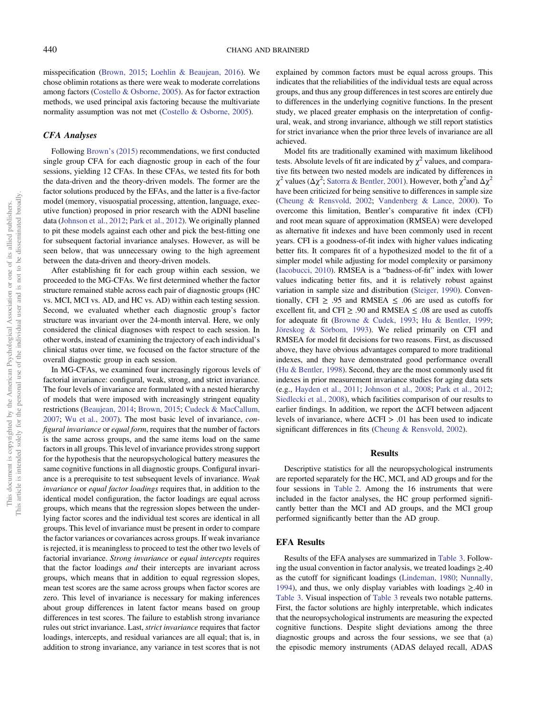misspecification ([Brown, 2015;](#page-14-0) [Loehlin & Beaujean, 2016\)](#page-15-0). We chose oblimin rotations as there were weak to moderate correlations among factors ([Costello & Osborne, 2005\)](#page-14-0). As for factor extraction methods, we used principal axis factoring because the multivariate normality assumption was not met ([Costello & Osborne, 2005\)](#page-14-0).

#### CFA Analyses

Following Brown'[s \(2015\)](#page-14-0) recommendations, we first conducted single group CFA for each diagnostic group in each of the four sessions, yielding 12 CFAs. In these CFAs, we tested fits for both the data-driven and the theory-driven models. The former are the factor solutions produced by the EFAs, and the latter is a five-factor model (memory, visuospatial processing, attention, language, executive function) proposed in prior research with the ADNI baseline data ([Johnson et al., 2012](#page-15-0); [Park et al., 2012\)](#page-15-0). We originally planned to pit these models against each other and pick the best-fitting one for subsequent factorial invariance analyses. However, as will be seen below, that was unnecessary owing to the high agreement between the data-driven and theory-driven models.

After establishing fit for each group within each session, we proceeded to the MG-CFAs. We first determined whether the factor structure remained stable across each pair of diagnostic groups (HC vs. MCI, MCI vs. AD, and HC vs. AD) within each testing session. Second, we evaluated whether each diagnostic group's factor structure was invariant over the 24-month interval. Here, we only considered the clinical diagnoses with respect to each session. In other words, instead of examining the trajectory of each individual's clinical status over time, we focused on the factor structure of the overall diagnostic group in each session.

In MG-CFAs, we examined four increasingly rigorous levels of factorial invariance: configural, weak, strong, and strict invariance. The four levels of invariance are formulated with a nested hierarchy of models that were imposed with increasingly stringent equality restrictions ([Beaujean, 2014](#page-14-0); [Brown, 2015;](#page-14-0) [Cudeck & MacCallum,](#page-14-0) [2007;](#page-14-0) [Wu et al., 2007\)](#page-16-0). The most basic level of invariance, configural invariance or equal form, requires that the number of factors is the same across groups, and the same items load on the same factors in all groups. This level of invariance provides strong support for the hypothesis that the neuropsychological battery measures the same cognitive functions in all diagnostic groups. Configural invariance is a prerequisite to test subsequent levels of invariance. Weak invariance or equal factor loadings requires that, in addition to the identical model configuration, the factor loadings are equal across groups, which means that the regression slopes between the underlying factor scores and the individual test scores are identical in all groups. This level of invariance must be present in order to compare the factor variances or covariances across groups. If weak invariance is rejected, it is meaningless to proceed to test the other two levels of factorial invariance. Strong invariance or equal intercepts requires that the factor loadings and their intercepts are invariant across groups, which means that in addition to equal regression slopes, mean test scores are the same across groups when factor scores are zero. This level of invariance is necessary for making inferences about group differences in latent factor means based on group differences in test scores. The failure to establish strong invariance rules out strict invariance. Last, strict invariance requires that factor loadings, intercepts, and residual variances are all equal; that is, in addition to strong invariance, any variance in test scores that is not explained by common factors must be equal across groups. This indicates that the reliabilities of the individual tests are equal across groups, and thus any group differences in test scores are entirely due to differences in the underlying cognitive functions. In the present study, we placed greater emphasis on the interpretation of configural, weak, and strong invariance, although we still report statistics for strict invariance when the prior three levels of invariance are all achieved.

Model fits are traditionally examined with maximum likelihood tests. Absolute levels of fit are indicated by  $\chi^2$  values, and comparative fits between two nested models are indicated by differences in  $\chi^2$  values ( $\Delta \chi^2$ ; [Satorra & Bentler, 2001\)](#page-16-0). However, both  $\chi^2$  and  $\Delta \chi^2$ have been criticized for being sensitive to differences in sample size ([Cheung & Rensvold, 2002](#page-14-0); [Vandenberg & Lance, 2000](#page-16-0)). To overcome this limitation, Bentler's comparative fit index (CFI) and root mean square of approximation (RMSEA) were developed as alternative fit indexes and have been commonly used in recent years. CFI is a goodness-of-fit index with higher values indicating better fits. It compares fit of a hypothesized model to the fit of a simpler model while adjusting for model complexity or parsimony ([Iacobucci, 2010\)](#page-15-0). RMSEA is a "badness-of-fit" index with lower values indicating better fits, and it is relatively robust against variation in sample size and distribution ([Steiger, 1990](#page-16-0)). Conventionally, CFI  $\geq$  .95 and RMSEA  $\leq$  .06 are used as cutoffs for excellent fit, and CFI  $\geq$  .90 and RMSEA  $\leq$  .08 are used as cutoffs for adequate fit [\(Browne & Cudek, 1993;](#page-14-0) [Hu & Bentler, 1999;](#page-15-0) [Jöreskog & Sörbom, 1993\)](#page-15-0). We relied primarily on CFI and RMSEA for model fit decisions for two reasons. First, as discussed above, they have obvious advantages compared to more traditional indexes, and they have demonstrated good performance overall ([Hu & Bentler, 1998](#page-15-0)). Second, they are the most commonly used fit indexes in prior measurement invariance studies for aging data sets (e.g., [Hayden et al., 2011;](#page-15-0) [Johnson et al., 2008;](#page-15-0) [Park et al., 2012;](#page-15-0) [Siedlecki et al., 2008\)](#page-16-0), which facilities comparison of our results to earlier findings. In addition, we report the ΔCFI between adjacent levels of invariance, where  $\Delta$ CFI > .01 has been used to indicate significant differences in fits ([Cheung & Rensvold, 2002\)](#page-14-0).

#### Results

Descriptive statistics for all the neuropsychological instruments are reported separately for the HC, MCI, and AD groups and for the four sessions in [Table 2](#page-4-0). Among the 16 instruments that were included in the factor analyses, the HC group performed significantly better than the MCI and AD groups, and the MCI group performed significantly better than the AD group.

## EFA Results

Results of the EFA analyses are summarized in [Table 3](#page-7-0). Following the usual convention in factor analysis, we treated loadings  $\geq$ .40 as the cutoff for significant loadings [\(Lindeman, 1980;](#page-15-0) [Nunnally,](#page-15-0) [1994\)](#page-15-0), and thus, we only display variables with loadings ≥.40 in [Table 3.](#page-7-0) Visual inspection of [Table 3](#page-7-0) reveals two notable patterns. First, the factor solutions are highly interpretable, which indicates that the neuropsychological instruments are measuring the expected cognitive functions. Despite slight deviations among the three diagnostic groups and across the four sessions, we see that (a) the episodic memory instruments (ADAS delayed recall, ADAS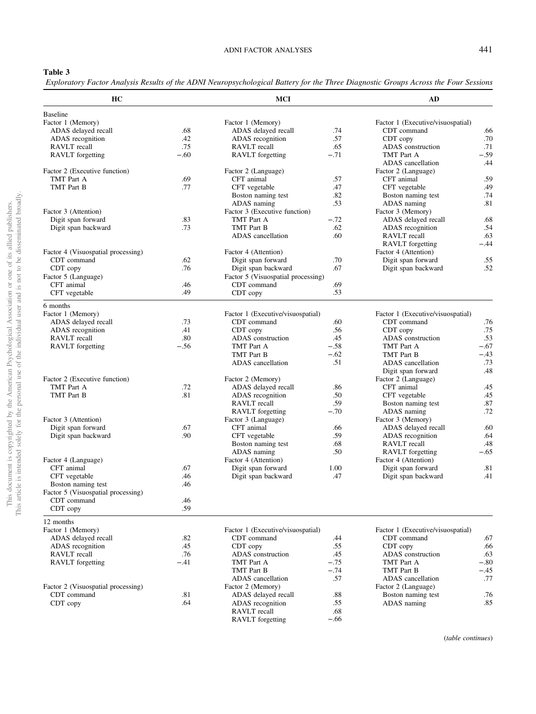<span id="page-7-0"></span>Exploratory Factor Analysis Results of the ADNI Neuropsychological Battery for the Three Diagnostic Groups Across the Four Sessions

| HC                                 |            | <b>MCI</b>                         |         | AD                                |        |
|------------------------------------|------------|------------------------------------|---------|-----------------------------------|--------|
| <b>Baseline</b>                    |            |                                    |         |                                   |        |
| Factor 1 (Memory)                  |            | Factor 1 (Memory)                  |         | Factor 1 (Executive/visuospatial) |        |
| ADAS delayed recall                | .68        | ADAS delayed recall                | .74     | CDT command                       | .66    |
| ADAS recognition                   | .42        | ADAS recognition                   | .57     | CDT copy                          | .70    |
| RAVLT recall                       | .75        | RAVLT recall                       | .65     | ADAS construction                 | .71    |
| <b>RAVLT</b> forgetting            | $-.60$     | <b>RAVLT</b> forgetting            | $-.71$  | TMT Part A                        | $-.59$ |
|                                    |            |                                    |         | ADAS cancellation                 | .44    |
| Factor 2 (Executive function)      |            | Factor 2 (Language)                |         | Factor 2 (Language)               |        |
| TMT Part A                         | .69        | CFT animal                         | .57     | CFT animal                        | .59    |
| TMT Part B                         | .77        | CFT vegetable                      | .47     | CFT vegetable                     | .49    |
|                                    |            | Boston naming test                 | .82     | Boston naming test                | .74    |
|                                    |            | ADAS naming                        | .53     | ADAS naming                       | .81    |
| Factor 3 (Attention)               |            | Factor 3 (Executive function)      |         | Factor 3 (Memory)                 |        |
| Digit span forward                 | .83        | TMT Part A                         | $-.72$  | ADAS delayed recall               | .68    |
| Digit span backward                | .73        | TMT Part B                         | .62     | ADAS recognition                  | .54    |
|                                    |            | ADAS cancellation                  | .60     | RAVLT recall                      | .63    |
|                                    |            |                                    |         | <b>RAVLT</b> forgetting           | $-.44$ |
| Factor 4 (Visuospatial processing) |            | Factor 4 (Attention)               |         | Factor 4 (Attention)              |        |
| CDT command                        | .62        | Digit span forward                 | .70     | Digit span forward                | .55    |
| CDT copy                           | .76        | Digit span backward                | .67     | Digit span backward               | .52    |
| Factor 5 (Language)                |            | Factor 5 (Visuospatial processing) |         |                                   |        |
| CFT animal                         | .46        | CDT command                        | .69     |                                   |        |
| CFT vegetable                      | .49        | CDT copy                           | .53     |                                   |        |
| 6 months                           |            |                                    |         |                                   |        |
| Factor 1 (Memory)                  |            | Factor 1 (Executive/visuospatial)  |         | Factor 1 (Executive/visuospatial) |        |
| ADAS delayed recall                | .73        | CDT command                        | .60     | CDT command                       | .76    |
| ADAS recognition                   | .41        | CDT copy                           | .56     | CDT copy                          | .75    |
| RAVLT recall                       | .80        | ADAS construction                  | .45     | ADAS construction                 | .53    |
| <b>RAVLT</b> forgetting            | $-.56$     | TMT Part A                         | $-.58$  | TMT Part A                        | $-.67$ |
|                                    |            | TMT Part B                         | $-.62$  | TMT Part B                        | $-.43$ |
|                                    |            | ADAS cancellation                  | .51     | ADAS cancellation                 | .73    |
|                                    |            |                                    |         | Digit span forward                | .48    |
| Factor 2 (Executive function)      |            | Factor 2 (Memory)                  |         | Factor 2 (Language)               |        |
| TMT Part A                         | .72        | ADAS delayed recall                | .86     | CFT animal                        | .45    |
| TMT Part B                         | .81        | ADAS recognition                   | .50     | CFT vegetable                     | .45    |
|                                    |            | RAVLT recall                       | .59     | Boston naming test                | .87    |
|                                    |            | <b>RAVLT</b> forgetting            | $-.70$  | ADAS naming                       | .72    |
| Factor 3 (Attention)               |            | Factor 3 (Language)                |         | Factor 3 (Memory)                 |        |
| Digit span forward                 | .67        | CFT animal                         | .66     | ADAS delayed recall               | .60    |
| Digit span backward                | .90        | CFT vegetable                      | .59     | ADAS recognition                  | .64    |
|                                    |            | Boston naming test                 | .68     | RAVLT recall                      | .48    |
|                                    |            | ADAS naming                        | .50     | <b>RAVLT</b> forgetting           | $-.65$ |
| Factor 4 (Language)                |            | Factor 4 (Attention)               |         | Factor 4 (Attention)              |        |
| CFT animal                         | .67        | Digit span forward                 | 1.00    | Digit span forward                | .81    |
| CFT vegetable                      | .46        | Digit span backward                | .47     | Digit span backward               | .41    |
| Boston naming test                 | .46        |                                    |         |                                   |        |
| Factor 5 (Visuospatial processing) |            |                                    |         |                                   |        |
| CDT command                        | .46        |                                    |         |                                   |        |
| CDT copy                           | .59        |                                    |         |                                   |        |
| 12 months                          |            |                                    |         |                                   |        |
| Factor 1 (Memory)                  |            | Factor 1 (Executive/visuospatial)  |         | Factor 1 (Executive/visuospatial) |        |
| ADAS delayed recall                | .82        | CDT command                        | .44     | CDT command                       | .67    |
| ADAS recognition                   | .45        | CDT copy                           | .55     | CDT copy                          | .66    |
| RAVLT recall                       | .76        | ADAS construction                  | .45     | ADAS construction                 | .63    |
| <b>RAVLT</b> forgetting            | $-.41$     | TMT Part A                         | $-.75$  | TMT Part A                        | $-.80$ |
|                                    |            | TMT Part B                         | $-.74$  | TMT Part B                        | -.45   |
|                                    |            | ADAS cancellation                  | .57     | ADAS cancellation                 | .77    |
| Factor 2 (Visuospatial processing) |            | Factor 2 (Memory)                  |         | Factor 2 (Language)               |        |
| CDT command                        |            | ADAS delayed recall                | $.88\,$ |                                   | .76    |
| CDT copy                           | .81<br>.64 | ADAS recognition                   | .55     | Boston naming test<br>ADAS naming | .85    |
|                                    |            | RAVLT recall                       | .68     |                                   |        |
|                                    |            | <b>RAVLT</b> forgetting            | $-.66$  |                                   |        |
|                                    |            |                                    |         |                                   |        |

(table continues)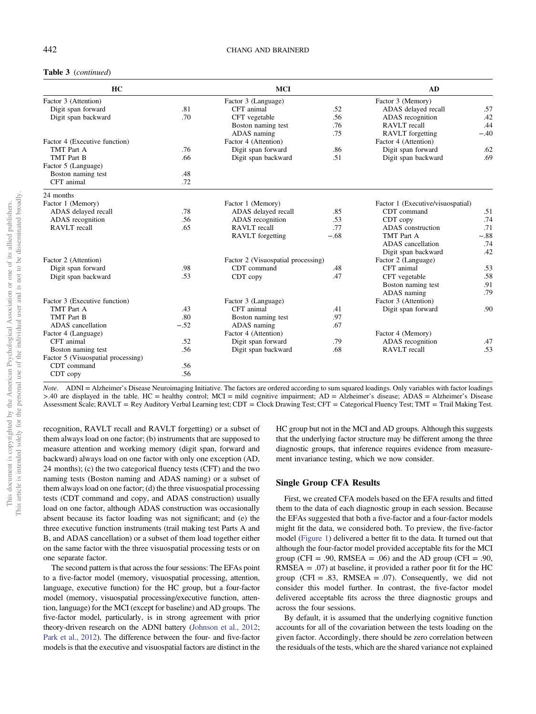## Table 3 (continued)

| HC                                 |        | <b>MCI</b>                         | AD     |                                   |        |
|------------------------------------|--------|------------------------------------|--------|-----------------------------------|--------|
| Factor 3 (Attention)               |        | Factor 3 (Language)                |        | Factor 3 (Memory)                 |        |
| Digit span forward                 | .81    | CFT animal                         | .52    | ADAS delayed recall               | .57    |
| Digit span backward                | .70    | CFT vegetable                      | .56    | ADAS recognition                  | .42    |
|                                    |        | Boston naming test                 | .76    | RAVLT recall                      | .44    |
|                                    |        | ADAS naming                        | .75    | RAVLT forgetting                  | $-.40$ |
| Factor 4 (Executive function)      |        | Factor 4 (Attention)               |        | Factor 4 (Attention)              |        |
| TMT Part A                         | .76    | Digit span forward                 | .86    | Digit span forward                | .62    |
| <b>TMT</b> Part B                  | .66    | Digit span backward                | .51    | Digit span backward               | .69    |
| Factor 5 (Language)                |        |                                    |        |                                   |        |
| Boston naming test                 | .48    |                                    |        |                                   |        |
| CFT animal                         | .72    |                                    |        |                                   |        |
| 24 months                          |        |                                    |        |                                   |        |
| Factor 1 (Memory)                  |        | Factor 1 (Memory)                  |        | Factor 1 (Executive/visuospatial) |        |
| ADAS delayed recall                | .78    | ADAS delayed recall                | .85    | CDT command                       | .51    |
| ADAS recognition                   | .56    | ADAS recognition                   | .53    | CDT copy                          | .74    |
| RAVLT recall                       | .65    | RAVLT recall                       | .77    | ADAS construction                 | .71    |
|                                    |        | <b>RAVLT</b> forgetting            | $-.68$ | TMT Part A                        | $-.88$ |
|                                    |        |                                    |        | ADAS cancellation                 | .74    |
|                                    |        |                                    |        | Digit span backward               | .42    |
| Factor 2 (Attention)               |        | Factor 2 (Visuospatial processing) |        | Factor 2 (Language)               |        |
| Digit span forward                 | .98    | CDT command                        | .48    | CFT animal                        | .53    |
| Digit span backward                | .53    | CDT copy                           | .47    | CFT vegetable                     | .58    |
|                                    |        |                                    |        | Boston naming test                | .91    |
|                                    |        |                                    |        | ADAS naming                       | .79    |
| Factor 3 (Executive function)      |        | Factor 3 (Language)                |        | Factor 3 (Attention)              |        |
| TMT Part A                         | .43    | CFT animal                         | .41    | Digit span forward                | .90    |
| TMT Part B                         | .80    | Boston naming test                 | .97    |                                   |        |
| ADAS cancellation                  | $-.52$ | ADAS naming                        | .67    |                                   |        |
| Factor 4 (Language)                |        | Factor 4 (Attention)               |        | Factor 4 (Memory)                 |        |
| CFT animal                         | .52    | Digit span forward                 | .79    | ADAS recognition                  | .47    |
| Boston naming test                 | .56    | Digit span backward                | .68    | RAVLT recall                      | .53    |
| Factor 5 (Visuospatial processing) |        |                                    |        |                                   |        |
| CDT command                        | .56    |                                    |        |                                   |        |
| CDT copy                           | .56    |                                    |        |                                   |        |

Note. ADNI = Alzheimer's Disease Neuroimaging Initiative. The factors are ordered according to sum squared loadings. Only variables with factor loadings >.40 are displayed in the table. HC = healthy control; MCI = mild cognitive impairment; AD = Alzheimer's disease; ADAS = Alzheimer's Disease Assessment Scale; RAVLT = Rey Auditory Verbal Learning test; CDT = Clock Drawing Test; CFT = Categorical Fluency Test; TMT = Trail Making Test.

recognition, RAVLT recall and RAVLT forgetting) or a subset of them always load on one factor; (b) instruments that are supposed to measure attention and working memory (digit span, forward and backward) always load on one factor with only one exception (AD, 24 months); (c) the two categorical fluency tests (CFT) and the two naming tests (Boston naming and ADAS naming) or a subset of them always load on one factor; (d) the three visuospatial processing tests (CDT command and copy, and ADAS construction) usually load on one factor, although ADAS construction was occasionally absent because its factor loading was not significant; and (e) the three executive function instruments (trail making test Parts A and B, and ADAS cancellation) or a subset of them load together either on the same factor with the three visuospatial processing tests or on one separate factor.

The second pattern is that across the four sessions: The EFAs point to a five-factor model (memory, visuospatial processing, attention, language, executive function) for the HC group, but a four-factor model (memory, visuospatial processing/executive function, attention, language) for the MCI (except for baseline) and AD groups. The five-factor model, particularly, is in strong agreement with prior theory-driven research on the ADNI battery ([Johnson et al., 2012;](#page-15-0) [Park et al., 2012](#page-15-0)). The difference between the four- and five-factor models is that the executive and visuospatial factors are distinct in the

HC group but not in the MCI and AD groups. Although this suggests that the underlying factor structure may be different among the three diagnostic groups, that inference requires evidence from measurement invariance testing, which we now consider.

#### Single Group CFA Results

First, we created CFA models based on the EFA results and fitted them to the data of each diagnostic group in each session. Because the EFAs suggested that both a five-factor and a four-factor models might fit the data, we considered both. To preview, the five-factor model ([Figure 1](#page-9-0)) delivered a better fit to the data. It turned out that although the four-factor model provided acceptable fits for the MCI group (CFI = .90, RMSEA = .06) and the AD group (CFI = .90,  $RMSEA = .07$ ) at baseline, it provided a rather poor fit for the HC group (CFI = .83, RMSEA = .07). Consequently, we did not consider this model further. In contrast, the five-factor model delivered acceptable fits across the three diagnostic groups and across the four sessions.

By default, it is assumed that the underlying cognitive function accounts for all of the covariation between the tests loading on the given factor. Accordingly, there should be zero correlation between the residuals of the tests, which are the shared variance not explained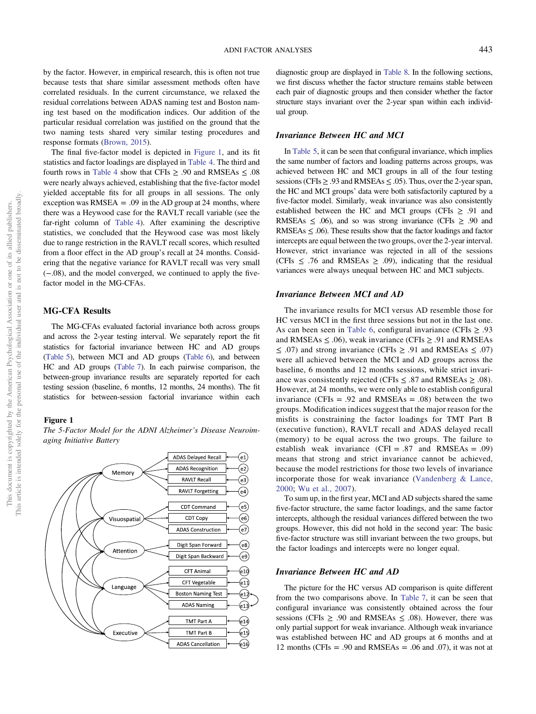<span id="page-9-0"></span>by the factor. However, in empirical research, this is often not true because tests that share similar assessment methods often have correlated residuals. In the current circumstance, we relaxed the residual correlations between ADAS naming test and Boston naming test based on the modification indices. Our addition of the particular residual correlation was justified on the ground that the two naming tests shared very similar testing procedures and response formats [\(Brown, 2015\)](#page-14-0).

The final five-factor model is depicted in Figure 1, and its fit statistics and factor loadings are displayed in [Table 4](#page-10-0). The third and fourth rows in [Table 4](#page-10-0) show that CFIs  $\geq .90$  and RMSEAs  $\leq .08$ were nearly always achieved, establishing that the five-factor model yielded acceptable fits for all groups in all sessions. The only exception was RMSEA  $= .09$  in the AD group at 24 months, where there was a Heywood case for the RAVLT recall variable (see the far-right column of [Table 4](#page-10-0)). After examining the descriptive statistics, we concluded that the Heywood case was most likely due to range restriction in the RAVLT recall scores, which resulted from a floor effect in the AD group's recall at 24 months. Considering that the negative variance for RAVLT recall was very small (−.08), and the model converged, we continued to apply the fivefactor model in the MG-CFAs.

# MG-CFA Results

The MG-CFAs evaluated factorial invariance both across groups and across the 2-year testing interval. We separately report the fit statistics for factorial invariance between HC and AD groups ([Table 5\)](#page-10-0), between MCI and AD groups [\(Table 6\)](#page-11-0), and between HC and AD groups [\(Table 7](#page-11-0)). In each pairwise comparison, the between-group invariance results are separately reported for each testing session (baseline, 6 months, 12 months, 24 months). The fit statistics for between-session factorial invariance within each

#### Figure 1





diagnostic group are displayed in [Table 8](#page-12-0). In the following sections, we first discuss whether the factor structure remains stable between each pair of diagnostic groups and then consider whether the factor structure stays invariant over the 2-year span within each individual group.

## Invariance Between HC and MCI

In [Table 5](#page-10-0), it can be seen that configural invariance, which implies the same number of factors and loading patterns across groups, was achieved between HC and MCI groups in all of the four testing sessions (CFIs  $\geq$  .93 and RMSEAs  $\leq$  .05). Thus, over the 2-year span, the HC and MCI groups' data were both satisfactorily captured by a five-factor model. Similarly, weak invariance was also consistently established between the HC and MCI groups (CFIs  $\geq$  .91 and RMSEAs  $\leq$  .06), and so was strong invariance (CFIs  $\geq$  .90 and RMSEAs  $\leq$  .06). These results show that the factor loadings and factor intercepts are equal between the two groups, over the 2-year interval. However, strict invariance was rejected in all of the sessions (CFIs  $≤$  .76 and RMSEAs  $≥$  .09), indicating that the residual variances were always unequal between HC and MCI subjects.

#### Invariance Between MCI and AD

The invariance results for MCI versus AD resemble those for HC versus MCI in the first three sessions but not in the last one. As can been seen in [Table 6,](#page-11-0) configural invariance (CFIs  $\geq$  .93 and RMSEAs  $\leq$  .06), weak invariance (CFIs  $\geq$  .91 and RMSEAs  $\leq$  .07) and strong invariance (CFIs  $\geq$  .91 and RMSEAs  $\leq$  .07) were all achieved between the MCI and AD groups across the baseline, 6 months and 12 months sessions, while strict invariance was consistently rejected (CFIs  $\leq$  .87 and RMSEAs  $\geq$  .08). However, at 24 months, we were only able to establish configural invariance (CFIs = .92 and RMSEAs = .08) between the two groups. Modification indices suggest that the major reason for the misfits is constraining the factor loadings for TMT Part B (executive function), RAVLT recall and ADAS delayed recall (memory) to be equal across the two groups. The failure to establish weak invariance  $(CFI = .87$  and RMSEAs = .09) means that strong and strict invariance cannot be achieved, because the model restrictions for those two levels of invariance incorporate those for weak invariance ([Vandenberg & Lance,](#page-16-0) [2000;](#page-16-0) [Wu et al., 2007\)](#page-16-0).

To sum up, in the first year, MCI and AD subjects shared the same five-factor structure, the same factor loadings, and the same factor intercepts, although the residual variances differed between the two groups. However, this did not hold in the second year: The basic five-factor structure was still invariant between the two groups, but the factor loadings and intercepts were no longer equal.

## Invariance Between HC and AD

The picture for the HC versus AD comparison is quite different from the two comparisons above. In [Table 7,](#page-11-0) it can be seen that configural invariance was consistently obtained across the four sessions (CFIs  $\geq$  .90 and RMSEAs  $\leq$  .08). However, there was only partial support for weak invariance. Although weak invariance was established between HC and AD groups at 6 months and at 12 months (CFIs = .90 and RMSEAs = .06 and .07), it was not at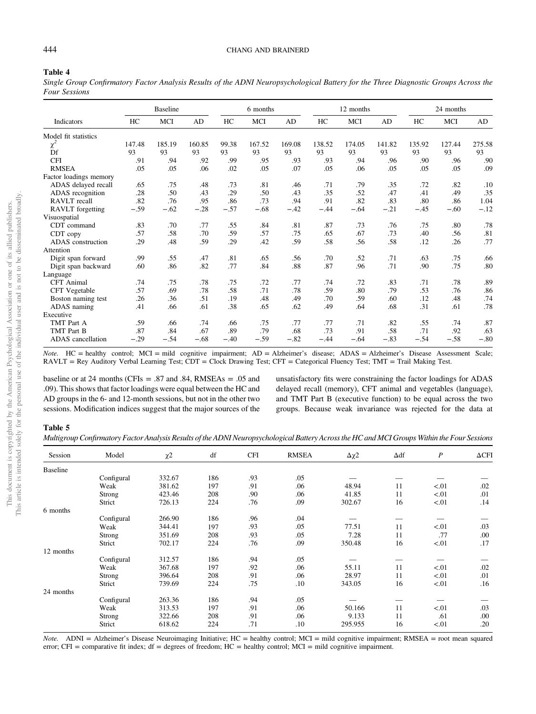## <span id="page-10-0"></span>444 CHANG AND BRAINERD

#### Table 4

Single Group Confirmatory Factor Analysis Results of the ADNI Neuropsychological Battery for the Three Diagnostic Groups Across the Four Sessions

|                          | <b>Baseline</b> |        |        |        | 6 months |        |        | 12 months |        |        | 24 months |        |
|--------------------------|-----------------|--------|--------|--------|----------|--------|--------|-----------|--------|--------|-----------|--------|
| Indicators               | HC              | MCI    | AD     | HC     | MCI      | AD     | HC     | MCI       | AD     | HC     | MCI       | AD     |
| Model fit statistics     |                 |        |        |        |          |        |        |           |        |        |           |        |
| $\chi^2$                 | 147.48          | 185.19 | 160.85 | 99.38  | 167.52   | 169.08 | 138.52 | 174.05    | 141.82 | 135.92 | 127.44    | 275.58 |
| Df                       | 93              | 93     | 93     | 93     | 93       | 93     | 93     | 93        | 93     | 93     | 93        | 93     |
| <b>CFI</b>               | .91             | .94    | .92    | .99    | .95      | .93    | .93    | .94       | .96    | .90    | .96       | .90    |
| <b>RMSEA</b>             | .05             | .05    | .06    | .02    | .05      | .07    | .05    | .06       | .05    | .05    | .05       | .09    |
| Factor loadings memory   |                 |        |        |        |          |        |        |           |        |        |           |        |
| ADAS delayed recall      | .65             | .75    | .48    | .73    | .81      | .46    | .71    | .79       | .35    | .72    | .82       | .10    |
| ADAS recognition         | .28             | .50    | .43    | .29    | .50      | .43    | .35    | .52       | .47    | .41    | .49       | .35    |
| RAVLT recall             | .82             | .76    | .95    | .86    | .73      | .94    | .91    | .82       | .83    | .80    | .86       | 1.04   |
| RAVLT forgetting         | $-.59$          | $-.62$ | $-.28$ | $-.57$ | $-.68$   | $-.42$ | $-.44$ | $-.64$    | $-.21$ | $-.45$ | $-.60$    | $-.12$ |
| Visuospatial             |                 |        |        |        |          |        |        |           |        |        |           |        |
| CDT command              | .83             | .70    | .77    | .55    | .84      | .81    | .87    | .73       | .76    | .75    | .80       | .78    |
| CDT copy                 | .57             | .58    | .70    | .59    | .57      | .75    | .65    | .67       | .73    | .40    | .56       | .81    |
| ADAS construction        | .29             | .48    | .59    | .29    | .42      | .59    | .58    | .56       | .58    | .12    | .26       | .77    |
| Attention                |                 |        |        |        |          |        |        |           |        |        |           |        |
| Digit span forward       | .99             | .55    | .47    | .81    | .65      | .56    | .70    | .52       | .71    | .63    | .75       | .66    |
| Digit span backward      | .60             | .86    | .82    | .77    | .84      | .88    | .87    | .96       | .71    | .90    | .75       | .80    |
| Language                 |                 |        |        |        |          |        |        |           |        |        |           |        |
| <b>CFT</b> Animal        | .74             | .75    | .78    | .75    | .72      | .77    | .74    | .72       | .83    | .71    | .78       | .89    |
| CFT Vegetable            | .57             | .69    | .78    | .58    | .71      | .78    | .59    | .80       | .79    | .53    | .76       | .86    |
| Boston naming test       | .26             | .36    | .51    | .19    | .48      | .49    | .70    | .59       | .60    | .12    | .48       | .74    |
| ADAS naming              | .41             | .66    | .61    | .38    | .65      | .62    | .49    | .64       | .68    | .31    | .61       | .78    |
| Executive                |                 |        |        |        |          |        |        |           |        |        |           |        |
| TMT Part A               | .59             | .66    | .74    | .66    | .75      | .77    | .77    | .71       | .82    | .55    | .74       | .87    |
| TMT Part B               | .87             | .84    | .67    | .89    | .79      | .68    | .73    | .91       | .58    | .71    | .92       | .63    |
| <b>ADAS</b> cancellation | $-.29$          | $-.54$ | $-.68$ | $-.40$ | $-.59$   | $-.82$ | $-.44$ | $-.64$    | $-.83$ | $-.54$ | $-.58$    | $-.80$ |

Note. HC = healthy control; MCI = mild cognitive impairment; AD = Alzheimer's disease; ADAS = Alzheimer's Disease Assessment Scale; RAVLT = Rey Auditory Verbal Learning Test; CDT = Clock Drawing Test; CFT = Categorical Fluency Test; TMT = Trail Making Test.

baseline or at 24 months (CFIs  $= .87$  and .84, RMSEAs  $= .05$  and .09). This shows that factor loadings were equal between the HC and AD groups in the 6- and 12-month sessions, but not in the other two sessions. Modification indices suggest that the major sources of the unsatisfactory fits were constraining the factor loadings for ADAS delayed recall (memory), CFT animal and vegetables (language), and TMT Part B (executive function) to be equal across the two groups. Because weak invariance was rejected for the data at

## Table 5

Multigroup Confirmatory Factor Analysis Results of the ADNI Neuropsychological Battery Across the HC and MCI Groups Within the Four Sessions

| Session         | Model      | $\chi^2$ | df  | <b>CFI</b> | <b>RMSEA</b> | $\Delta \chi$ 2 | $\Delta df$ | $\boldsymbol{P}$ | $\Delta$ CFI |
|-----------------|------------|----------|-----|------------|--------------|-----------------|-------------|------------------|--------------|
| <b>Baseline</b> |            |          |     |            |              |                 |             |                  |              |
|                 | Configural | 332.67   | 186 | .93        | .05          |                 |             |                  |              |
|                 | Weak       | 381.62   | 197 | .91        | .06          | 48.94           | 11          | < 01             | .02          |
|                 | Strong     | 423.46   | 208 | .90        | .06          | 41.85           | 11          | < 01             | .01          |
|                 | Strict     | 726.13   | 224 | .76        | .09          | 302.67          | 16          | < 01             | .14          |
| 6 months        |            |          |     |            |              |                 |             |                  |              |
|                 | Configural | 266.90   | 186 | .96        | .04          |                 |             |                  |              |
|                 | Weak       | 344.41   | 197 | .93        | .05          | 77.51           | 11          | < 01             | .03          |
|                 | Strong     | 351.69   | 208 | .93        | .05          | 7.28            | 11          | .77              | .00          |
|                 | Strict     | 702.17   | 224 | .76        | .09          | 350.48          | 16          | < 01             | .17          |
| 12 months       |            |          |     |            |              |                 |             |                  |              |
|                 | Configural | 312.57   | 186 | .94        | .05          |                 |             |                  |              |
|                 | Weak       | 367.68   | 197 | .92        | .06          | 55.11           | 11          | < 01             | .02          |
|                 | Strong     | 396.64   | 208 | .91        | .06          | 28.97           | 11          | < 01             | .01          |
|                 | Strict     | 739.69   | 224 | .75        | .10          | 343.05          | 16          | < 01             | .16          |
| 24 months       |            |          |     |            |              |                 |             |                  |              |
|                 | Configural | 263.36   | 186 | .94        | .05          |                 |             |                  |              |
|                 | Weak       | 313.53   | 197 | .91        | .06          | 50.166          | 11          | < 01             | .03          |
|                 | Strong     | 322.66   | 208 | .91        | .06          | 9.133           | 11          | .61              | .00          |
|                 | Strict     | 618.62   | 224 | .71        | .10          | 295.955         | 16          | < 01             | .20          |

Note. ADNI = Alzheimer's Disease Neuroimaging Initiative; HC = healthy control; MCI = mild cognitive impairment; RMSEA = root mean squared error; CFI = comparative fit index; df = degrees of freedom; HC = healthy control; MCI = mild cognitive impairment.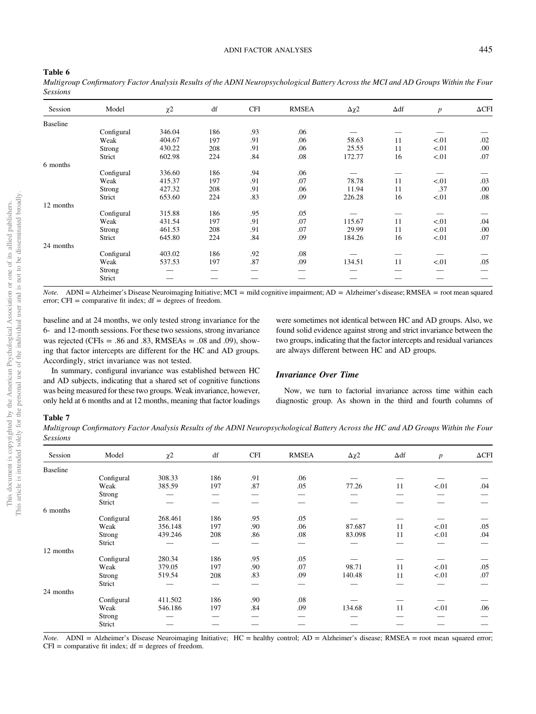## <span id="page-11-0"></span>Table 6

|                 | Multigroup Confirmatory Factor Analysis Results of the ADNI Neuropsychological Battery Across the MCI and AD Groups Within the Four |  |  |  |  |  |  |
|-----------------|-------------------------------------------------------------------------------------------------------------------------------------|--|--|--|--|--|--|
| <b>Sessions</b> |                                                                                                                                     |  |  |  |  |  |  |

| Session   | Model      | $\chi^2$ | df  | <b>CFI</b> | <b>RMSEA</b> | $\Delta \chi$ 2 | $\Delta df$ | $\boldsymbol{p}$ | $\Delta$ CFI |
|-----------|------------|----------|-----|------------|--------------|-----------------|-------------|------------------|--------------|
| Baseline  |            |          |     |            |              |                 |             |                  |              |
|           | Configural | 346.04   | 186 | .93        | .06          |                 |             |                  |              |
|           | Weak       | 404.67   | 197 | .91        | .06          | 58.63           | 11          | < 01             | .02          |
|           | Strong     | 430.22   | 208 | .91        | .06          | 25.55           | 11          | < 01             | .00          |
|           | Strict     | 602.98   | 224 | .84        | .08          | 172.77          | 16          | < 01             | .07          |
| 6 months  |            |          |     |            |              |                 |             |                  |              |
|           | Configural | 336.60   | 186 | .94        | .06          |                 |             |                  |              |
|           | Weak       | 415.37   | 197 | .91        | .07          | 78.78           | 11          | < 01             | .03          |
|           | Strong     | 427.32   | 208 | .91        | .06          | 11.94           | 11          | .37              | .00          |
|           | Strict     | 653.60   | 224 | .83        | .09          | 226.28          | 16          | < 01             | .08          |
| 12 months |            |          |     |            |              |                 |             |                  |              |
|           | Configural | 315.88   | 186 | .95        | .05          |                 |             |                  |              |
|           | Weak       | 431.54   | 197 | .91        | .07          | 115.67          | 11          | < 01             | .04          |
|           | Strong     | 461.53   | 208 | .91        | .07          | 29.99           | 11          | < 01             | .00          |
|           | Strict     | 645.80   | 224 | .84        | .09          | 184.26          | 16          | < 01             | .07          |
| 24 months |            |          |     |            |              |                 |             |                  |              |
|           | Configural | 403.02   | 186 | .92        | .08          |                 |             |                  |              |
|           | Weak       | 537.53   | 197 | .87        | .09          | 134.51          | 11          | < 01             | .05          |
|           | Strong     |          |     |            |              |                 |             |                  |              |
|           | Strict     |          |     |            |              |                 |             |                  |              |

Note. ADNI = Alzheimer's Disease Neuroimaging Initiative; MCI = mild cognitive impairment; AD = Alzheimer's disease; RMSEA = root mean squared error;  $CFI = \text{comparative fit index}$ ;  $df = \text{degrees of freedom}$ .

baseline and at 24 months, we only tested strong invariance for the 6- and 12-month sessions. For these two sessions, strong invariance was rejected (CFIs = .86 and .83, RMSEAs = .08 and .09), showing that factor intercepts are different for the HC and AD groups. Accordingly, strict invariance was not tested.

In summary, configural invariance was established between HC and AD subjects, indicating that a shared set of cognitive functions was being measured for these two groups. Weak invariance, however, only held at 6 months and at 12 months, meaning that factor loadings were sometimes not identical between HC and AD groups. Also, we found solid evidence against strong and strict invariance between the two groups, indicating that the factor intercepts and residual variances are always different between HC and AD groups.

## Invariance Over Time

Now, we turn to factorial invariance across time within each diagnostic group. As shown in the third and fourth columns of

#### Table 7

Multigroup Confirmatory Factor Analysis Results of the ADNI Neuropsychological Battery Across the HC and AD Groups Within the Four Sessions

| --------        |               |                     |     |            |              |        |             |                  |              |
|-----------------|---------------|---------------------|-----|------------|--------------|--------|-------------|------------------|--------------|
| Session         | Model         | $\chi$ <sup>2</sup> | df  | <b>CFI</b> | <b>RMSEA</b> | Δχ2    | $\Delta df$ | $\boldsymbol{p}$ | $\Delta$ CFI |
| <b>Baseline</b> |               |                     |     |            |              |        |             |                  |              |
|                 | Configural    | 308.33              | 186 | .91        | .06          |        |             |                  |              |
|                 | Weak          | 385.59              | 197 | .87        | .05          | 77.26  | 11          | < 01             | .04          |
|                 | <b>Strong</b> |                     |     |            |              |        |             |                  |              |
|                 | Strict        |                     |     |            |              |        |             |                  |              |
| 6 months        |               |                     |     |            |              |        |             |                  |              |
|                 | Configural    | 268.461             | 186 | .95        | .05          |        |             |                  |              |
|                 | Weak          | 356.148             | 197 | .90        | .06          | 87.687 | 11          | < 01             | .05          |
|                 | Strong        | 439.246             | 208 | .86        | .08          | 83.098 | 11          | < 01             | .04          |
|                 | Strict        |                     |     |            |              |        |             |                  |              |
| 12 months       |               |                     |     |            |              |        |             |                  |              |
|                 | Configural    | 280.34              | 186 | .95        | .05          |        |             |                  |              |
|                 | Weak          | 379.05              | 197 | .90        | .07          | 98.71  | 11          | < 01             | .05          |
|                 | Strong        | 519.54              | 208 | .83        | .09          | 140.48 | 11          | < 01             | .07          |
|                 | Strict        |                     |     |            |              |        |             |                  |              |
| 24 months       |               |                     |     |            |              |        |             |                  |              |
|                 | Configural    | 411.502             | 186 | .90        | .08          |        |             |                  |              |
|                 | Weak          | 546.186             | 197 | .84        | .09          | 134.68 | 11          | < 01             | .06          |
|                 | Strong        |                     |     |            |              |        |             |                  |              |
|                 | Strict        |                     |     |            |              |        |             |                  |              |
|                 |               |                     |     |            |              |        |             |                  |              |

Note. ADNI = Alzheimer's Disease Neuroimaging Initiative; HC = healthy control; AD = Alzheimer's disease; RMSEA = root mean squared error;  $CFI = comparative fit index; df = degrees of freedom.$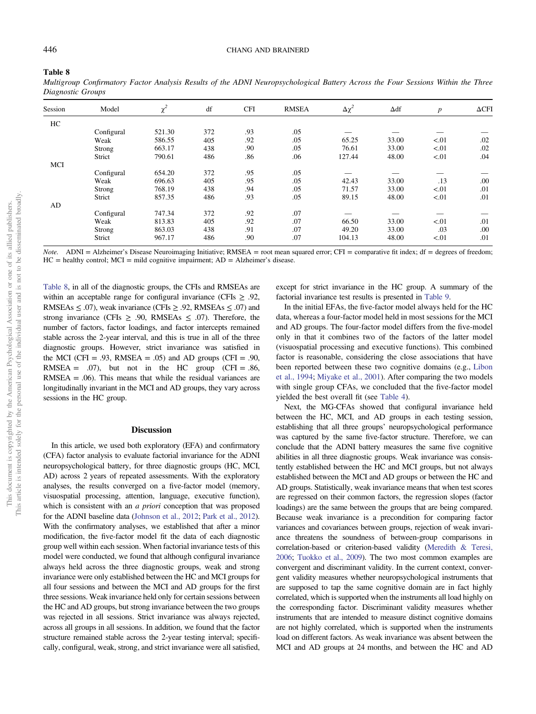#### <span id="page-12-0"></span>Table 8

| Multigroup Confirmatory Factor Analysis Results of the ADNI Neuropsychological Battery Across the Four Sessions Within the Three |  |  |  |  |
|----------------------------------------------------------------------------------------------------------------------------------|--|--|--|--|
| Diagnostic Groups                                                                                                                |  |  |  |  |

| Session | Model      | $\chi^2$ | df  | <b>CFI</b> | <b>RMSEA</b> | $\Delta \chi^2$ | $\Delta df$ | $\boldsymbol{p}$ | $\triangle$ CFI |
|---------|------------|----------|-----|------------|--------------|-----------------|-------------|------------------|-----------------|
| HC      |            |          |     |            |              |                 |             |                  |                 |
|         | Configural | 521.30   | 372 | .93        | .05          |                 |             |                  |                 |
|         | Weak       | 586.55   | 405 | .92        | .05          | 65.25           | 33.00       | < 01             | .02             |
|         | Strong     | 663.17   | 438 | .90        | .05          | 76.61           | 33.00       | < 01             | .02             |
|         | Strict     | 790.61   | 486 | .86        | .06          | 127.44          | 48.00       | < 01             | .04             |
| MCI     |            |          |     |            |              |                 |             |                  |                 |
|         | Configural | 654.20   | 372 | .95        | .05          |                 |             |                  |                 |
|         | Weak       | 696.63   | 405 | .95        | .05          | 42.43           | 33.00       | .13              | .00             |
|         | Strong     | 768.19   | 438 | .94        | .05          | 71.57           | 33.00       | < 01             | .01             |
|         | Strict     | 857.35   | 486 | .93        | .05          | 89.15           | 48.00       | < 01             | .01             |
| AD      |            |          |     |            |              |                 |             |                  |                 |
|         | Configural | 747.34   | 372 | .92        | .07          |                 |             |                  |                 |
|         | Weak       | 813.83   | 405 | .92        | .07          | 66.50           | 33.00       | < 01             | .01             |
|         | Strong     | 863.03   | 438 | .91        | .07          | 49.20           | 33.00       | .03              | .00             |
|         | Strict     | 967.17   | 486 | .90        | .07          | 104.13          | 48.00       | < 01             | .01             |

Note. ADNI = Alzheimer's Disease Neuroimaging Initiative; RMSEA = root mean squared error; CFI = comparative fit index; df = degrees of freedom;  $HC =$  healthy control;  $MCI =$  mild cognitive impairment;  $AD =$  Alzheimer's disease.

Table 8, in all of the diagnostic groups, the CFIs and RMSEAs are within an acceptable range for configural invariance (CFIs  $\geq$  .92, RMSEAs  $\leq$  .07), weak invariance (CFIs  $\geq$  .92, RMSEAs  $\leq$  .07) and strong invariance (CFIs  $\ge$  .90, RMSEAs  $\le$  .07). Therefore, the number of factors, factor loadings, and factor intercepts remained stable across the 2-year interval, and this is true in all of the three diagnostic groups. However, strict invariance was satisfied in the MCI (CFI = .93, RMSEA = .05) and AD groups (CFI = .90, RMSEA =  $.07$ ), but not in the HC group (CFI = .86,  $RMSEA = .06$ ). This means that while the residual variances are longitudinally invariant in the MCI and AD groups, they vary across sessions in the HC group.

## Discussion

In this article, we used both exploratory (EFA) and confirmatory (CFA) factor analysis to evaluate factorial invariance for the ADNI neuropsychological battery, for three diagnostic groups (HC, MCI, AD) across 2 years of repeated assessments. With the exploratory analyses, the results converged on a five-factor model (memory, visuospatial processing, attention, language, executive function), which is consistent with an *a priori* conception that was proposed for the ADNI baseline data ([Johnson et al., 2012;](#page-15-0) [Park et al., 2012\)](#page-15-0). With the confirmatory analyses, we established that after a minor modification, the five-factor model fit the data of each diagnostic group well within each session. When factorial invariance tests of this model were conducted, we found that although configural invariance always held across the three diagnostic groups, weak and strong invariance were only established between the HC and MCI groups for all four sessions and between the MCI and AD groups for the first three sessions. Weak invariance held only for certain sessions between the HC and AD groups, but strong invariance between the two groups was rejected in all sessions. Strict invariance was always rejected, across all groups in all sessions. In addition, we found that the factor structure remained stable across the 2-year testing interval; specifically, configural, weak, strong, and strict invariance were all satisfied,

except for strict invariance in the HC group. A summary of the factorial invariance test results is presented in [Table 9.](#page-13-0)

In the initial EFAs, the five-factor model always held for the HC data, whereas a four-factor model held in most sessions for the MCI and AD groups. The four-factor model differs from the five-model only in that it combines two of the factors of the latter model (visuospatial processing and executive functions). This combined factor is reasonable, considering the close associations that have been reported between these two cognitive domains (e.g., [Libon](#page-15-0) [et al., 1994;](#page-15-0) [Miyake et al., 2001\)](#page-15-0). After comparing the two models with single group CFAs, we concluded that the five-factor model yielded the best overall fit (see [Table 4](#page-10-0)).

Next, the MG-CFAs showed that configural invariance held between the HC, MCI, and AD groups in each testing session, establishing that all three groups' neuropsychological performance was captured by the same five-factor structure. Therefore, we can conclude that the ADNI battery measures the same five cognitive abilities in all three diagnostic groups. Weak invariance was consistently established between the HC and MCI groups, but not always established between the MCI and AD groups or between the HC and AD groups. Statistically, weak invariance means that when test scores are regressed on their common factors, the regression slopes (factor loadings) are the same between the groups that are being compared. Because weak invariance is a precondition for comparing factor variances and covariances between groups, rejection of weak invariance threatens the soundness of between-group comparisons in correlation-based or criterion-based validity ([Meredith & Teresi,](#page-15-0) [2006](#page-15-0); [Tuokko et al., 2009](#page-16-0)). The two most common examples are convergent and discriminant validity. In the current context, convergent validity measures whether neuropsychological instruments that are supposed to tap the same cognitive domain are in fact highly correlated, which is supported when the instruments all load highly on the corresponding factor. Discriminant validity measures whether instruments that are intended to measure distinct cognitive domains are not highly correlated, which is supported when the instruments load on different factors. As weak invariance was absent between the MCI and AD groups at 24 months, and between the HC and AD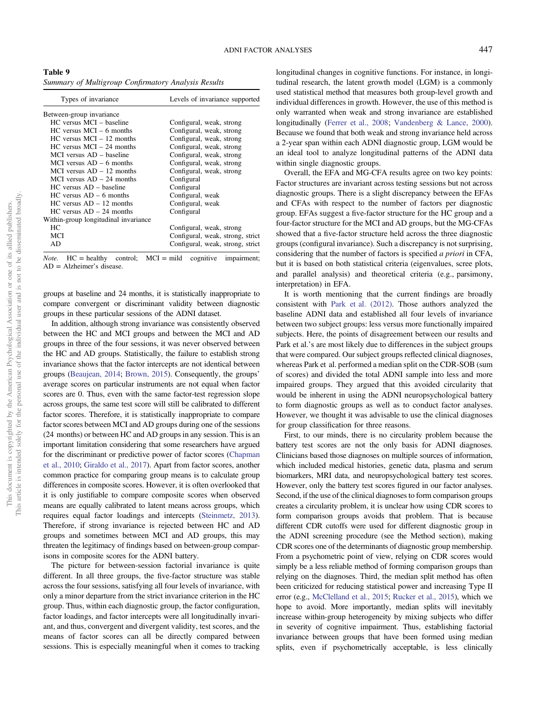<span id="page-13-0"></span>Table 9 Summary of Multigroup Confirmatory Analysis Results

| Types of invariance                  | Levels of invariance supported   |
|--------------------------------------|----------------------------------|
| Between-group invariance             |                                  |
| $HC$ versus $MCI - baseline$         | Configural, weak, strong         |
| $HC$ versus $MCI - 6$ months         | Configural, weak, strong         |
| $HC$ versus $MCI - 12$ months        | Configural, weak, strong         |
| $HC$ versus $MCI - 24$ months        | Configural, weak, strong         |
| $MCI$ versus $AD -$ baseline         | Configural, weak, strong         |
| MCI versus $AD - 6$ months           | Configural, weak, strong         |
| MCI versus $AD - 12$ months          | Configural, weak, strong         |
| MCI versus $AD - 24$ months          | Configural                       |
| $HC$ versus $AD -$ baseline          | Configural                       |
| $HC$ versus $AD - 6$ months          | Configural, weak                 |
| $HC$ versus $AD - 12$ months         | Configural, weak                 |
| $HC$ versus $AD - 24$ months         | Configural                       |
| Within-group longitudinal invariance |                                  |
| HC.                                  | Configural, weak, strong         |
| MCI                                  | Configural, weak, strong, strict |
| AD                                   | Configural, weak, strong, strict |

*Note.*  $HC = \text{healthy}$  control;  $MCI = \text{mild}$  cognitive impairment; AD = Alzheimer's disease.

groups at baseline and 24 months, it is statistically inappropriate to compare convergent or discriminant validity between diagnostic groups in these particular sessions of the ADNI dataset.

In addition, although strong invariance was consistently observed between the HC and MCI groups and between the MCI and AD groups in three of the four sessions, it was never observed between the HC and AD groups. Statistically, the failure to establish strong invariance shows that the factor intercepts are not identical between groups ([Beaujean, 2014](#page-14-0); [Brown, 2015\)](#page-14-0). Consequently, the groups' average scores on particular instruments are not equal when factor scores are 0. Thus, even with the same factor-test regression slope across groups, the same test score will still be calibrated to different factor scores. Therefore, it is statistically inappropriate to compare factor scores between MCI and AD groups during one of the sessions (24 months) or between HC and AD groups in any session. This is an important limitation considering that some researchers have argued for the discriminant or predictive power of factor scores [\(Chapman](#page-14-0) [et al., 2010](#page-14-0); [Giraldo et al., 2017\)](#page-14-0). Apart from factor scores, another common practice for comparing group means is to calculate group differences in composite scores. However, it is often overlooked that it is only justifiable to compare composite scores when observed means are equally calibrated to latent means across groups, which requires equal factor loadings and intercepts [\(Steinmetz, 2013\)](#page-16-0). Therefore, if strong invariance is rejected between HC and AD groups and sometimes between MCI and AD groups, this may threaten the legitimacy of findings based on between-group comparisons in composite scores for the ADNI battery.

The picture for between-session factorial invariance is quite different. In all three groups, the five-factor structure was stable across the four sessions, satisfying all four levels of invariance, with only a minor departure from the strict invariance criterion in the HC group. Thus, within each diagnostic group, the factor configuration, factor loadings, and factor intercepts were all longitudinally invariant, and thus, convergent and divergent validity, test scores, and the means of factor scores can all be directly compared between sessions. This is especially meaningful when it comes to tracking longitudinal changes in cognitive functions. For instance, in longitudinal research, the latent growth model (LGM) is a commonly used statistical method that measures both group-level growth and individual differences in growth. However, the use of this method is only warranted when weak and strong invariance are established longitudinally ([Ferrer et al., 2008](#page-14-0); [Vandenberg & Lance, 2000\)](#page-16-0). Because we found that both weak and strong invariance held across a 2-year span within each ADNI diagnostic group, LGM would be an ideal tool to analyze longitudinal patterns of the ADNI data within single diagnostic groups.

Overall, the EFA and MG-CFA results agree on two key points: Factor structures are invariant across testing sessions but not across diagnostic groups. There is a slight discrepancy between the EFAs and CFAs with respect to the number of factors per diagnostic group. EFAs suggest a five-factor structure for the HC group and a four-factor structure for the MCI and AD groups, but the MG-CFAs showed that a five-factor structure held across the three diagnostic groups (configural invariance). Such a discrepancy is not surprising, considering that the number of factors is specified a priori in CFA, but it is based on both statistical criteria (eigenvalues, scree plots, and parallel analysis) and theoretical criteria (e.g., parsimony, interpretation) in EFA.

It is worth mentioning that the current findings are broadly consistent with [Park et al. \(2012\)](#page-15-0). Those authors analyzed the baseline ADNI data and established all four levels of invariance between two subject groups: less versus more functionally impaired subjects. Here, the points of disagreement between our results and Park et al.'s are most likely due to differences in the subject groups that were compared. Our subject groups reflected clinical diagnoses, whereas Park et al. performed a median split on the CDR-SOB (sum of scores) and divided the total ADNI sample into less and more impaired groups. They argued that this avoided circularity that would be inherent in using the ADNI neuropsychological battery to form diagnostic groups as well as to conduct factor analyses. However, we thought it was advisable to use the clinical diagnoses for group classification for three reasons.

First, to our minds, there is no circularity problem because the battery test scores are not the only basis for ADNI diagnoses. Clinicians based those diagnoses on multiple sources of information, which included medical histories, genetic data, plasma and serum biomarkers, MRI data, and neuropsychological battery test scores. However, only the battery test scores figured in our factor analyses. Second, if the use of the clinical diagnoses to form comparison groups creates a circularity problem, it is unclear how using CDR scores to form comparison groups avoids that problem. That is because different CDR cutoffs were used for different diagnostic group in the ADNI screening procedure (see the Method section), making CDR scores one of the determinants of diagnostic group membership. From a psychometric point of view, relying on CDR scores would simply be a less reliable method of forming comparison groups than relying on the diagnoses. Third, the median split method has often been criticized for reducing statistical power and increasing Type II error (e.g., [McClelland et al., 2015](#page-15-0); [Rucker et al., 2015\)](#page-16-0), which we hope to avoid. More importantly, median splits will inevitably increase within-group heterogeneity by mixing subjects who differ in severity of cognitive impairment. Thus, establishing factorial invariance between groups that have been formed using median splits, even if psychometrically acceptable, is less clinically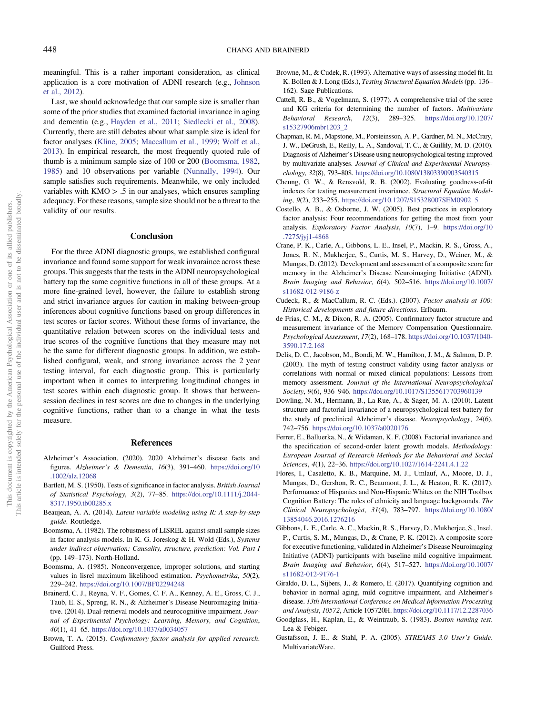<span id="page-14-0"></span>meaningful. This is a rather important consideration, as clinical application is a core motivation of ADNI research (e.g., [Johnson](#page-15-0) [et al., 2012](#page-15-0)).

Last, we should acknowledge that our sample size is smaller than some of the prior studies that examined factorial invariance in aging and dementia (e.g., [Hayden et al., 2011;](#page-15-0) [Siedlecki et al., 2008\)](#page-16-0). Currently, there are still debates about what sample size is ideal for factor analyses ([Kline, 2005;](#page-15-0) [Maccallum et al., 1999;](#page-15-0) [Wolf et al.,](#page-16-0) [2013\)](#page-16-0). In empirical research, the most frequently quoted rule of thumb is a minimum sample size of 100 or 200 (Boomsma, 1982, 1985) and 10 observations per variable [\(Nunnally, 1994](#page-15-0)). Our sample satisfies such requirements. Meanwhile, we only included variables with KMO > .5 in our analyses, which ensures sampling adequacy. For these reasons, sample size should not be a threat to the validity of our results.

## Conclusion

For the three ADNI diagnostic groups, we established configural invariance and found some support for weak invaraince across these groups. This suggests that the tests in the ADNI neuropsychological battery tap the same cognitive functions in all of these groups. At a more fine-grained level, however, the failure to establish strong and strict invariance argues for caution in making between-group inferences about cognitive functions based on group differences in test scores or factor scores. Without these forms of invariance, the quantitative relation between scores on the individual tests and true scores of the cognitive functions that they measure may not be the same for different diagnostic groups. In addition, we established configural, weak, and strong invariance across the 2 year testing interval, for each diagnostic group. This is particularly important when it comes to interpreting longitudinal changes in test scores within each diagnostic group. It shows that betweensession declines in test scores are due to changes in the underlying cognitive functions, rather than to a change in what the tests measure.

#### References

- Alzheimer's Association. (2020). 2020 Alzheimer's disease facts and figures. Alzheimer's & Dementia, 16(3), 391–460. [https://doi.org/10](https://doi.org/10.1002/alz.12068) [.1002/alz.12068](https://doi.org/10.1002/alz.12068)
- Bartlett, M. S. (1950). Tests of significance in factor analysis. British Journal of Statistical Psychology, 3(2), 77–85. [https://doi.org/10.1111/j.2044-](https://doi.org/10.1111/j.2044-8317.1950.tb00285.x) [8317.1950.tb00285.x](https://doi.org/10.1111/j.2044-8317.1950.tb00285.x)
- Beaujean, A. A. (2014). Latent variable modeling using R: A step-by-step guide. Routledge.
- Boomsma, A. (1982). The robustness of LISREL against small sample sizes in factor analysis models. In K. G. Joreskog & H. Wold (Eds.), Systems under indirect observation: Causality, structure, prediction: Vol. Part I (pp. 149–173). North-Holland.
- Boomsma, A. (1985). Nonconvergence, improper solutions, and starting values in lisrel maximum likelihood estimation. Psychometrika, 50(2), 229–242. <https://doi.org/10.1007/BF02294248>
- Brainerd, C. J., Reyna, V. F., Gomes, C. F. A., Kenney, A. E., Gross, C. J., Taub, E. S., Spreng, R. N., & Alzheimer's Disease Neuroimaging Initiative. (2014). Dual-retrieval models and neurocognitive impairment. Journal of Experimental Psychology: Learning, Memory, and Cognition, 40(1), 41–65. <https://doi.org/10.1037/a0034057>
- Brown, T. A. (2015). Confirmatory factor analysis for applied research. Guilford Press.
- Browne, M., & Cudek, R. (1993). Alternative ways of assessing model fit. In K. Bollen & J. Long (Eds.), Testing Structural Equation Models (pp. 136– 162). Sage Publications.
- Cattell, R. B., & Vogelmann, S. (1977). A comprehensive trial of the scree and KG criteria for determining the number of factors. Multivariate Behavioral Research, 12(3), 289–325. [https://doi.org/10.1207/](https://doi.org/10.1207/s15327906mbr1203_2) [s15327906mbr1203\\_2](https://doi.org/10.1207/s15327906mbr1203_2)
- Chapman, R. M., Mapstone, M., Porsteinsson, A. P., Gardner, M. N., McCrary, J. W., DeGrush, E., Reilly, L. A., Sandoval, T. C., & Guillily, M. D. (2010). Diagnosis of Alzheimer's Disease using neuropsychological testing improved by multivariate analyses. Journal of Clinical and Experimental Neuropsychology, 32(8), 793–808. <https://doi.org/10.1080/13803390903540315>
- Cheung, G. W., & Rensvold, R. B. (2002). Evaluating goodness-of-fit indexes for testing measurement invariance. Structural Equation Modeling, 9(2), 233–255. [https://doi.org/10.1207/S15328007SEM0902\\_5](https://doi.org/10.1207/S15328007SEM0902_5)
- Costello, A. B., & Osborne, J. W. (2005). Best practices in exploratory factor analysis: Four recommendations for getting the most from your analysis. Exploratory Factor Analysis, 10(7), 1–9. [https://doi.org/10](https://doi.org/10.7275/jyj1-4868) [.7275/jyj1-4868](https://doi.org/10.7275/jyj1-4868)
- Crane, P. K., Carle, A., Gibbons, L. E., Insel, P., Mackin, R. S., Gross, A., Jones, R. N., Mukherjee, S., Curtis, M. S., Harvey, D., Weiner, M., & Mungas, D. (2012). Development and assessment of a composite score for memory in the Alzheimer's Disease Neuroimaging Initiative (ADNI). Brain Imaging and Behavior, 6(4), 502–516. [https://doi.org/10.1007/](https://doi.org/10.1007/s11682-012-9186-z) [s11682-012-9186-z](https://doi.org/10.1007/s11682-012-9186-z)
- Cudeck, R., & MacCallum, R. C. (Eds.). (2007). Factor analysis at 100: Historical developments and future directions. Erlbaum.
- de Frias, C. M., & Dixon, R. A. (2005). Confirmatory factor structure and measurement invariance of the Memory Compensation Questionnaire. Psychological Assessment, 17(2), 168–178. [https://doi.org/10.1037/1040-](https://doi.org/10.1037/1040-3590.17.2.168) [3590.17.2.168](https://doi.org/10.1037/1040-3590.17.2.168)
- Delis, D. C., Jacobson, M., Bondi, M. W., Hamilton, J. M., & Salmon, D. P. (2003). The myth of testing construct validity using factor analysis or correlations with normal or mixed clinical populations: Lessons from memory assessment. Journal of the International Neuropsychological Society, 9(6), 936–946. <https://doi.org/10.1017/S1355617703960139>
- Dowling, N. M., Hermann, B., La Rue, A., & Sager, M. A. (2010). Latent structure and factorial invariance of a neuropsychological test battery for the study of preclinical Alzheimer's disease. Neuropsychology, 24(6), 742–756. <https://doi.org/10.1037/a0020176>
- Ferrer, E., Balluerka, N., & Widaman, K. F. (2008). Factorial invariance and the specification of second-order latent growth models. Methodology: European Journal of Research Methods for the Behavioral and Social Sciences, 4(1), 22–36. <https://doi.org/10.1027/1614-2241.4.1.22>
- Flores, I., Casaletto, K. B., Marquine, M. J., Umlauf, A., Moore, D. J., Mungas, D., Gershon, R. C., Beaumont, J. L., & Heaton, R. K. (2017). Performance of Hispanics and Non-Hispanic Whites on the NIH Toolbox Cognition Battery: The roles of ethnicity and language backgrounds. The Clinical Neuropsychologist, 31(4), 783–797. [https://doi.org/10.1080/](https://doi.org/10.1080/13854046.2016.1276216) [13854046.2016.1276216](https://doi.org/10.1080/13854046.2016.1276216)
- Gibbons, L. E., Carle, A. C., Mackin, R. S., Harvey, D., Mukherjee, S., Insel, P., Curtis, S. M., Mungas, D., & Crane, P. K. (2012). A composite score for executive functioning, validated in Alzheimer's Disease Neuroimaging Initiative (ADNI) participants with baseline mild cognitive impairment. Brain Imaging and Behavior, 6(4), 517–527. [https://doi.org/10.1007/](https://doi.org/10.1007/s11682-012-9176-1) [s11682-012-9176-1](https://doi.org/10.1007/s11682-012-9176-1)
- Giraldo, D. L., Sijbers, J., & Romero, E. (2017). Quantifying cognition and behavior in normal aging, mild cognitive impairment, and Alzheimer's disease. 13th International Conference on Medical Information Processing and Analysis, 10572, Article 105720H. <https://doi.org/10.1117/12.2287036>
- Goodglass, H., Kaplan, E., & Weintraub, S. (1983). Boston naming test. Lea & Febiger.
- Gustafsson, J. E., & Stahl, P. A. (2005). STREAMS 3.0 User's Guide. MultivariateWare.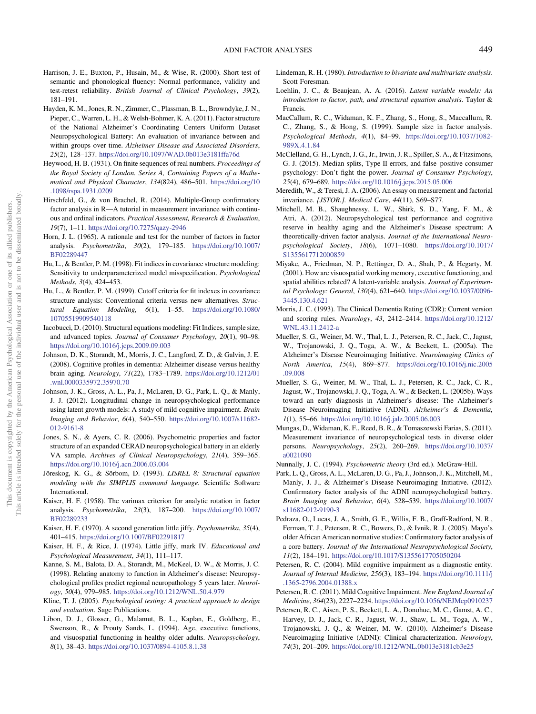- <span id="page-15-0"></span>Harrison, J. E., Buxton, P., Husain, M., & Wise, R. (2000). Short test of semantic and phonological fluency: Normal performance, validity and test-retest reliability. British Journal of Clinical Psychology, 39(2), 181–191.
- Hayden, K. M., Jones, R. N., Zimmer, C., Plassman, B. L., Browndyke, J. N., Pieper, C., Warren, L. H., & Welsh-Bohmer, K. A. (2011). Factor structure of the National Alzheimer's Coordinating Centers Uniform Dataset Neuropsychological Battery: An evaluation of invariance between and within groups over time. Alzheimer Disease and Associated Disorders, 25(2), 128–137. <https://doi.org/10.1097/WAD.0b013e3181ffa76d>
- Heywood, H. B. (1931). On finite sequences of real numbers. Proceedings of the Royal Society of London. Series A, Containing Papers of a Mathematical and Physical Character, 134(824), 486–501. [https://doi.org/10](https://doi.org/10.1098/rspa.1931.0209) [.1098/rspa.1931.0209](https://doi.org/10.1098/rspa.1931.0209)
- Hirschfeld, G., & von Brachel, R. (2014). Multiple-Group confirmatory factor analysis in R—A tutorial in measurement invariance with continuous and ordinal indicators. Practical Assessment, Research & Evaluation, 19(7), 1–11. <https://doi.org/10.7275/qazy-2946>
- Horn, J. L. (1965). A rationale and test for the number of factors in factor analysis. Psychometrika, 30(2), 179–185. [https://doi.org/10.1007/](https://doi.org/10.1007/BF02289447) [BF02289447](https://doi.org/10.1007/BF02289447)
- Hu, L., & Bentler, P. M. (1998). Fit indices in covariance structure modeling: Sensitivity to underparameterized model misspecification. Psychological Methods, 3(4), 424–453.
- Hu, L., & Bentler, P. M. (1999). Cutoff criteria for fit indexes in covariance structure analysis: Conventional criteria versus new alternatives. Structural Equation Modeling, 6(1), 1–55. [https://doi.org/10.1080/](https://doi.org/10.1080/10705519909540118) [10705519909540118](https://doi.org/10.1080/10705519909540118)
- Iacobucci, D. (2010). Structural equations modeling: Fit Indices, sample size, and advanced topics. Journal of Consumer Psychology, 20(1), 90–98. <https://doi.org/10.1016/j.jcps.2009.09.003>
- Johnson, D. K., Storandt, M., Morris, J. C., Langford, Z. D., & Galvin, J. E. (2008). Cognitive profiles in dementia: Alzheimer disease versus healthy brain aging. Neurology, 71(22), 1783–1789. [https://doi.org/10.1212/01](https://doi.org/10.1212/01.wnl.0000335972.35970.70) [.wnl.0000335972.35970.70](https://doi.org/10.1212/01.wnl.0000335972.35970.70)
- Johnson, J. K., Gross, A. L., Pa, J., McLaren, D. G., Park, L. Q., & Manly, J. J. (2012). Longitudinal change in neuropsychological performance using latent growth models: A study of mild cognitive impairment. Brain Imaging and Behavior, 6(4), 540–550. [https://doi.org/10.1007/s11682-](https://doi.org/10.1007/s11682-012-9161-8) [012-9161-8](https://doi.org/10.1007/s11682-012-9161-8)
- Jones, S. N., & Ayers, C. R. (2006). Psychometric properties and factor structure of an expanded CERAD neuropsychological battery in an elderly VA sample. Archives of Clinical Neuropsychology, 21(4), 359–365. <https://doi.org/10.1016/j.acn.2006.03.004>
- Jöreskog, K. G., & Sörbom, D. (1993). LISREL 8: Structural equation modeling with the SIMPLIS command language. Scientific Software International.
- Kaiser, H. F. (1958). The varimax criterion for analytic rotation in factor analysis. Psychometrika, 23(3), 187–200. [https://doi.org/10.1007/](https://doi.org/10.1007/BF02289233) [BF02289233](https://doi.org/10.1007/BF02289233)
- Kaiser, H. F. (1970). A second generation little jiffy. Psychometrika, 35(4), 401–415. <https://doi.org/10.1007/BF02291817>
- Kaiser, H. F., & Rice, J. (1974). Little jiffy, mark IV. Educational and Psychological Measurement, 34(1), 111–117.
- Kanne, S. M., Balota, D. A., Storandt, M., McKeel, D. W., & Morris, J. C. (1998). Relating anatomy to function in Alzheimer's disease: Neuropsychological profiles predict regional neuropathology 5 years later. Neurology, 50(4), 979–985. <https://doi.org/10.1212/WNL.50.4.979>
- Kline, T. J. (2005). Psychological testing: A practical approach to design and evaluation. Sage Publications.
- Libon, D. J., Glosser, G., Malamut, B. L., Kaplan, E., Goldberg, E., Swenson, R., & Prouty Sands, L. (1994). Age, executive functions, and visuospatial functioning in healthy older adults. Neuropsychology, 8(1), 38–43. <https://doi.org/10.1037/0894-4105.8.1.38>
- Lindeman, R. H. (1980). Introduction to bivariate and multivariate analysis. Scott Foresman.
- Loehlin, J. C., & Beaujean, A. A. (2016). Latent variable models: An introduction to factor, path, and structural equation analysis. Taylor & Francis.
- MacCallum, R. C., Widaman, K. F., Zhang, S., Hong, S., Maccallum, R. C., Zhang, S., & Hong, S. (1999). Sample size in factor analysis. Psychological Methods, 4(1), 84–99. [https://doi.org/10.1037/1082-](https://doi.org/10.1037/1082-989X.4.1.84) [989X.4.1.84](https://doi.org/10.1037/1082-989X.4.1.84)
- McClelland, G. H., Lynch, J. G., Jr., Irwin, J. R., Spiller, S. A., & Fitzsimons, G. J. (2015). Median splits, Type II errors, and false–positive consumer psychology: Don't fight the power. Journal of Consumer Psychology, 25(4), 679–689. <https://doi.org/10.1016/j.jcps.2015.05.006>
- Meredith, W., & Teresi, J. A. (2006). An essay on measurement and factorial invariance. [JSTOR.]. Medical Care, 44(11), S69-S77.
- Mitchell, M. B., Shaughnessy, L. W., Shirk, S. D., Yang, F. M., & Atri, A. (2012). Neuropsychological test performance and cognitive reserve in healthy aging and the Alzheimer's Disease spectrum: A theoretically-driven factor analysis. Journal of the International Neuropsychological Society, 18(6), 1071–1080. [https://doi.org/10.1017/](https://doi.org/10.1017/S1355617712000859) [S1355617712000859](https://doi.org/10.1017/S1355617712000859)
- Miyake, A., Friedman, N. P., Rettinger, D. A., Shah, P., & Hegarty, M. (2001). How are visuospatial working memory, executive functioning, and spatial abilities related? A latent-variable analysis. Journal of Experimental Psychology: General, 130(4), 621–640. [https://doi.org/10.1037/0096-](https://doi.org/10.1037/0096-3445.130.4.621) [3445.130.4.621](https://doi.org/10.1037/0096-3445.130.4.621)
- Morris, J. C. (1993). The Clinical Dementia Rating (CDR): Current version and scoring rules. Neurology, 43, 2412–2414. [https://doi.org/10.1212/](https://doi.org/10.1212/WNL.43.11.2412-a) [WNL.43.11.2412-a](https://doi.org/10.1212/WNL.43.11.2412-a)
- Mueller, S. G., Weiner, M. W., Thal, L. J., Petersen, R. C., Jack, C., Jagust, W., Trojanowski, J. Q., Toga, A. W., & Beckett, L. (2005a). The Alzheimer's Disease Neuroimaging Initiative. Neuroimaging Clinics of North America, 15(4), 869–877. [https://doi.org/10.1016/j.nic.2005](https://doi.org/10.1016/j.nic.2005.09.008) [.09.008](https://doi.org/10.1016/j.nic.2005.09.008)
- Mueller, S. G., Weiner, M. W., Thal, L. J., Petersen, R. C., Jack, C. R., Jagust, W., Trojanowski, J. Q., Toga, A. W., & Beckett, L. (2005b). Ways toward an early diagnosis in Alzheimer's disease: The Alzheimer's Disease Neuroimaging Initiative (ADNI). Alzheimer's & Dementia, 1(1), 55–66. <https://doi.org/10.1016/j.jalz.2005.06.003>
- Mungas, D., Widaman, K. F., Reed, B. R., & Tomaszewski Farias, S. (2011). Measurement invariance of neuropsychological tests in diverse older persons. Neuropsychology, 25(2), 260–269. [https://doi.org/10.1037/](https://doi.org/10.1037/a0021090) [a0021090](https://doi.org/10.1037/a0021090)
- Nunnally, J. C. (1994). Psychometric theory (3rd ed.). McGraw-Hill.
- Park, L. Q., Gross, A. L., McLaren, D. G., Pa, J., Johnson, J. K., Mitchell, M., Manly, J. J., & Alzheimer's Disease Neuroimaging Initiative. (2012). Confirmatory factor analysis of the ADNI neuropsychological battery. Brain Imaging and Behavior, 6(4), 528–539. [https://doi.org/10.1007/](https://doi.org/10.1007/s11682-012-9190-3) [s11682-012-9190-3](https://doi.org/10.1007/s11682-012-9190-3)
- Pedraza, O., Lucas, J. A., Smith, G. E., Willis, F. B., Graff-Radford, N. R., Ferman, T. J., Petersen, R. C., Bowers, D., & Ivnik, R. J. (2005). Mayo's older African American normative studies: Confirmatory factor analysis of a core battery. Journal of the International Neuropsychological Society, 11(2), 184–191. <https://doi.org/10.1017/S1355617705050204>
- Petersen, R. C. (2004). Mild cognitive impairment as a diagnostic entity. Journal of Internal Medicine, 256(3), 183–194. [https://doi.org/10.1111/j](https://doi.org/10.1111/j.1365-2796.2004.01388.x) [.1365-2796.2004.01388.x](https://doi.org/10.1111/j.1365-2796.2004.01388.x)
- Petersen, R. C. (2011). Mild Cognitive Impairment. New England Journal of Medicine, 364(23), 2227–2234. <https://doi.org/10.1056/NEJMcp0910237>
- Petersen, R. C., Aisen, P. S., Beckett, L. A., Donohue, M. C., Gamst, A. C., Harvey, D. J., Jack, C. R., Jagust, W. J., Shaw, L. M., Toga, A. W., Trojanowski, J. Q., & Weiner, M. W. (2010). Alzheimer's Disease Neuroimaging Initiative (ADNI): Clinical characterization. Neurology, 74(3), 201–209. <https://doi.org/10.1212/WNL.0b013e3181cb3e25>